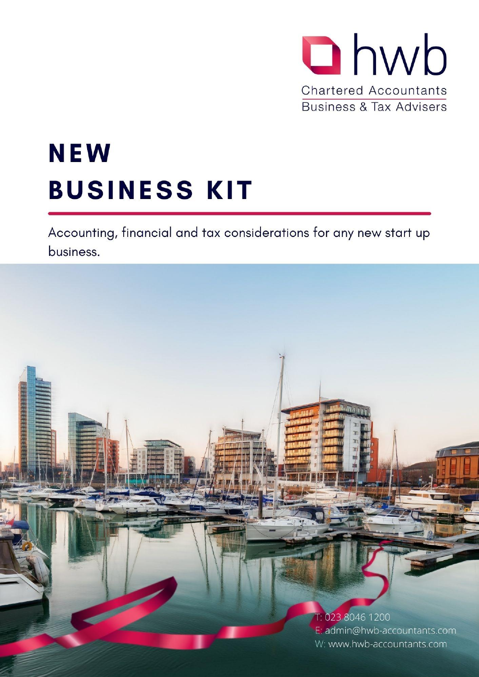

# **NEW BUSINESS KIT**

Accounting, financial and tax considerations for any new start up business.

> T: 023 8046 1200 E: admin@hwb-accountants.com W: www.hwb-accountants.com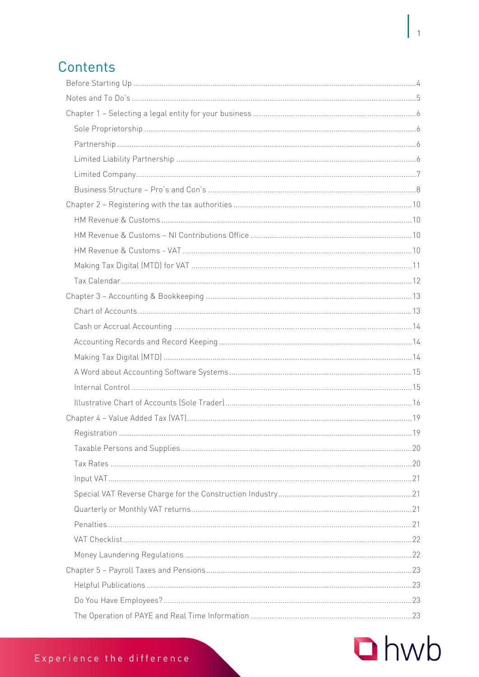# Contents



 $\overline{1}$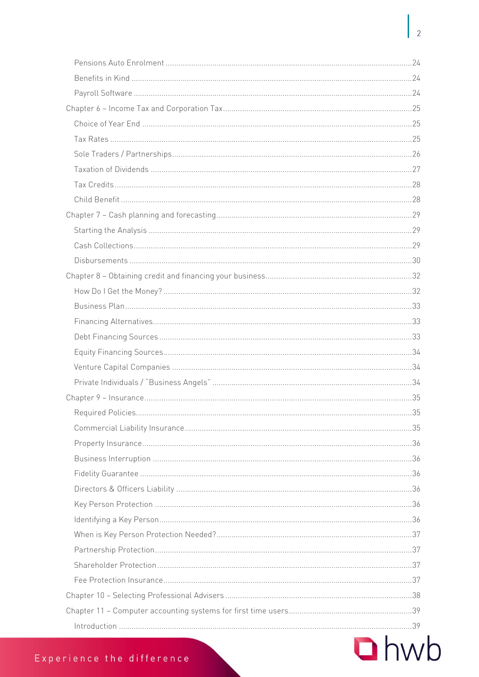## $\frac{1}{2}$  Tax Rates 25

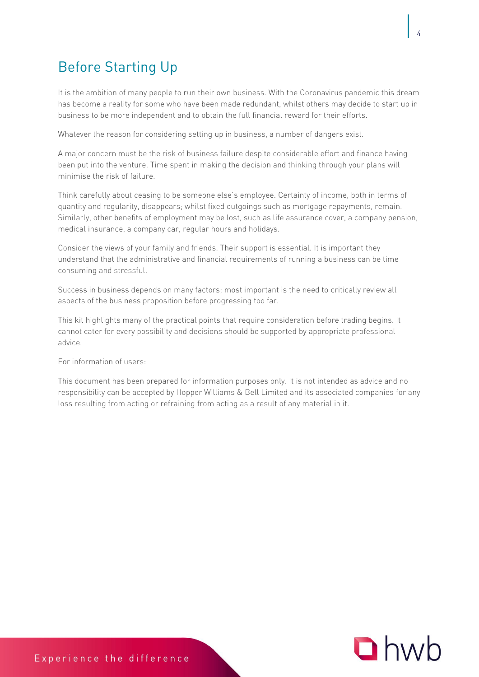# <span id="page-4-0"></span>Before Starting Up

It is the ambition of many people to run their own business. With the Coronavirus pandemic this dream has become a reality for some who have been made redundant, whilst others may decide to start up in business to be more independent and to obtain the full financial reward for their efforts.

Whatever the reason for considering setting up in business, a number of dangers exist.

A major concern must be the risk of business failure despite considerable effort and finance having been put into the venture. Time spent in making the decision and thinking through your plans will minimise the risk of failure.

Think carefully about ceasing to be someone else's employee. Certainty of income, both in terms of quantity and regularity, disappears; whilst fixed outgoings such as mortgage repayments, remain. Similarly, other benefits of employment may be lost, such as life assurance cover, a company pension, medical insurance, a company car, regular hours and holidays.

Consider the views of your family and friends. Their support is essential. It is important they understand that the administrative and financial requirements of running a business can be time consuming and stressful.

Success in business depends on many factors; most important is the need to critically review all aspects of the business proposition before progressing too far.

This kit highlights many of the practical points that require consideration before trading begins. It cannot cater for every possibility and decisions should be supported by appropriate professional advice.

For information of users:

This document has been prepared for information purposes only. It is not intended as advice and no responsibility can be accepted by Hopper Williams & Bell Limited and its associated companies for any loss resulting from acting or refraining from acting as a result of any material in it.

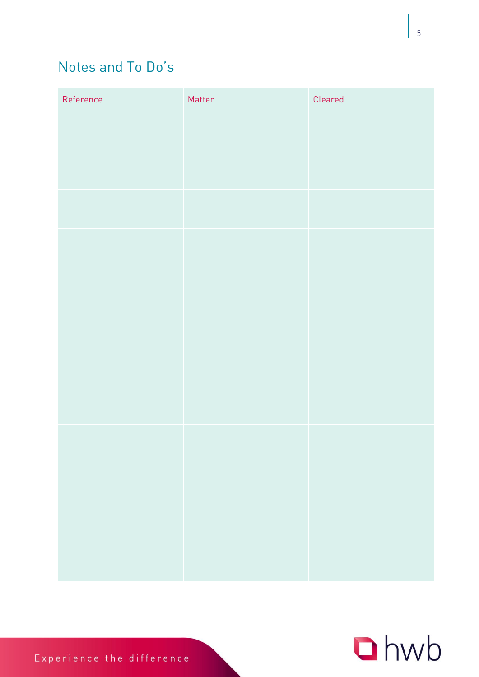<span id="page-5-0"></span>

| Reference | Matter | Cleared |
|-----------|--------|---------|
|           |        |         |
|           |        |         |
|           |        |         |
|           |        |         |
|           |        |         |
|           |        |         |
|           |        |         |
|           |        |         |
|           |        |         |
|           |        |         |
|           |        |         |
|           |        |         |

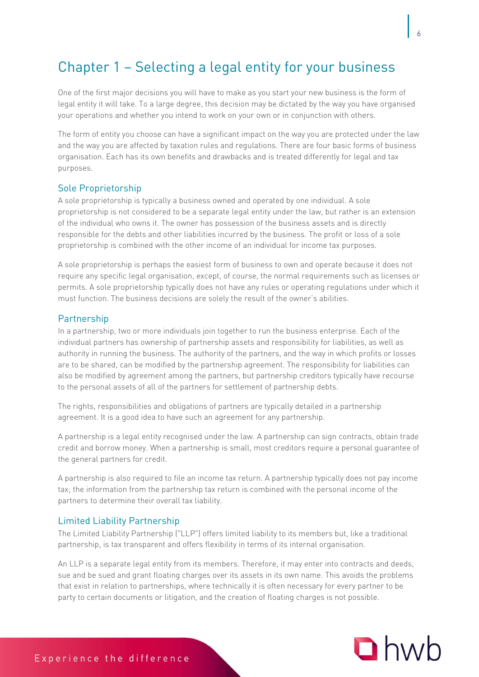## <span id="page-6-0"></span>Chapter 1 – Selecting a legal entity for your business

One of the first major decisions you will have to make as you start your new business is the form of legal entity it will take. To a large degree, this decision may be dictated by the way you have organised your operations and whether you intend to work on your own or in conjunction with others.

The form of entity you choose can have a significant impact on the way you are protected under the law and the way you are affected by taxation rules and regulations. There are four basic forms of business organisation. Each has its own benefits and drawbacks and is treated differently for legal and tax purposes.

<span id="page-6-1"></span>s are a reprocument.<br>A sole proprietorship is typically a business owned and operated by one individual. A sole proprietorship is not considered to be a separate legal entity under the law, but rather is an extension of the individual who owns it. The owner has possession of the business assets and is directly responsible for the debts and other liabilities incurred by the business. The profit or loss of a sole proprietorship is combined with the other income of an individual for income tax purposes.

A sole proprietorship is perhaps the easiest form of business to own and operate because it does not require any specific legal organisation, except, of course, the normal requirements such as licenses or permits. A sole proprietorship typically does not have any rules or operating regulations under which it must function. The business decisions are solely the result of the owner's abilities.

### <span id="page-6-2"></span>Partnership

In a partnership, two or more individuals join together to run the business enterprise. Each of the l individual partners has ownership of partnership assets and responsibility for liabilities, as well as authority in running the business. The authority of the partners, and the way in which profits or losses are to be shared, can be modified by the partnership agreement. The responsibility for liabilities can also be modified by agreement among the partners, but partnership creditors typically have recourse to the personal assets of all of the partners for settlement of partnership debts.

The rights, responsibilities and obligations of partners are typically detailed in a partnership agreement. It is a good idea to have such an agreement for any partnership.

A partnership is a legal entity recognised under the law. A partnership can sign contracts, obtain trade credit and borrow money. When a partnership is small, most creditors require a personal guarantee of the general partners for credit.

A partnership is also required to file an income tax return. A partnership typically does not pay income tax; the information from the partnership tax return is combined with the personal income of the partners to determine their overall tax liability.

<span id="page-6-3"></span>Limited Liability Partnership The Limited Liability Partnership ("LLP") offers limited liability to its members but, like a traditional partnership, is tax transparent and offers flexibility in terms of its internal organisation.

An LLP is a separate legal entity from its members. Therefore, it may enter into contracts and deeds, sue and be sued and grant floating charges over its assets in its own name. This avoids the problems that exist in relation to partnerships, where technically it is often necessary for every partner to be party to certain documents or litigation, and the creation of floating charges is not possible.

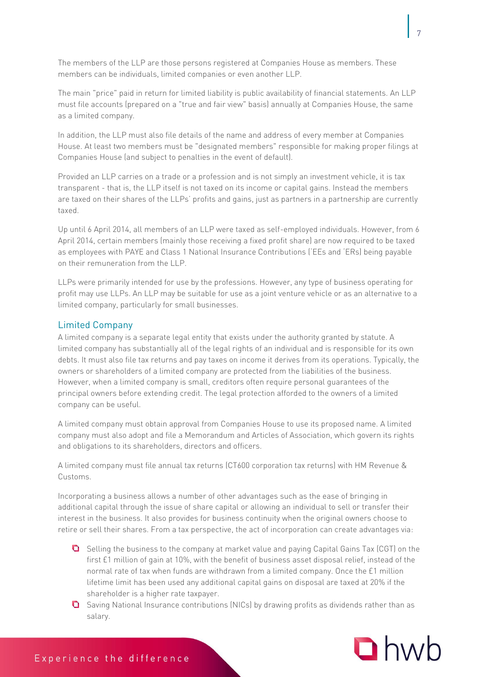The members of the LLP are those persons registered at Companies House as members. These members can be individuals, limited companies or even another LLP.

The main "price" paid in return for limited liability is public availability of financial statements. An LLP must file accounts (prepared on a "true and fair view" basis) annually at Companies House, the same as a limited company.

In addition, the LLP must also file details of the name and address of every member at Companies House. At least two members must be "designated members" responsible for making proper filings at Companies House (and subject to penalties in the event of default).

Provided an LLP carries on a trade or a profession and is not simply an investment vehicle, it is tax transparent - that is, the LLP itself is not taxed on its income or capital gains. Instead the members are taxed on their shares of the LLPs' profits and gains, just as partners in a partnership are currently taxed.

Up until 6 April 2014, all members of an LLP were taxed as self-employed individuals. However, from 6 April 2014, certain members (mainly those receiving a fixed profit share) are now required to be taxed as employees with PAYE and Class 1 National Insurance Contributions ('EEs and 'ERs) being payable on their remuneration from the LLP.

LLPs were primarily intended for use by the professions. However, any type of business operating for profit may use LLPs. An LLP may be suitable for use as a joint venture vehicle or as an alternative to a limited company, particularly for small businesses.

<span id="page-7-0"></span>Limited Company A limited company is a separate legal entity that exists under the authority granted by statute. A limited company has substantially all of the legal rights of an individual and is responsible for its own debts. It must also file tax returns and pay taxes on income it derives from its operations. Typically, the owners or shareholders of a limited company are protected from the liabilities of the business. However, when a limited company is small, creditors often require personal guarantees of the principal owners before extending credit. The legal protection afforded to the owners of a limited company can be useful.

A limited company must obtain approval from Companies House to use its proposed name. A limited company must also adopt and file a Memorandum and Articles of Association, which govern its rights and obligations to its shareholders, directors and officers.

A limited company must file annual tax returns (CT600 corporation tax returns) with HM Revenue & Customs.

Incorporating a business allows a number of other advantages such as the ease of bringing in additional capital through the issue of share capital or allowing an individual to sell or transfer their interest in the business. It also provides for business continuity when the original owners choose to retire or sell their shares. From a tax perspective, the act of incorporation can create advantages via:

- Selling the business to the company at market value and paying Capital Gains Tax (CGT) on the first £1 million of gain at 10%, with the benefit of business asset disposal relief, instead of the normal rate of tax when funds are withdrawn from a limited company. Once the £1 million lifetime limit has been used any additional capital gains on disposal are taxed at 20% if the shareholder is a higher rate taxpayer.
- Saving National Insurance contributions (NICs) by drawing profits as dividends rather than as salary.

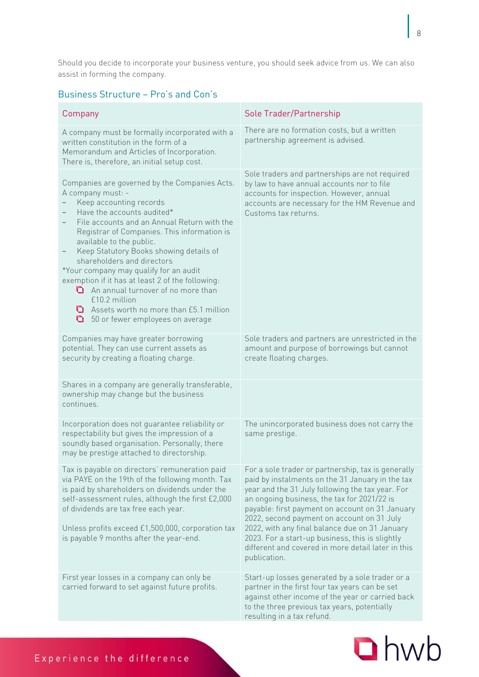Should you decide to incorporate your business venture, you should seek advice from us. We can also assist in forming the company.

### <span id="page-8-0"></span>Business Structure - Pro's and Con's

| Company                                                                                                                                                                                                                                                                                                                                                                                                                                                                                                                                                                | Sole Trader/Partnership                                                                                                                                                                                                                                                                                                                                                                                                                                                               |
|------------------------------------------------------------------------------------------------------------------------------------------------------------------------------------------------------------------------------------------------------------------------------------------------------------------------------------------------------------------------------------------------------------------------------------------------------------------------------------------------------------------------------------------------------------------------|---------------------------------------------------------------------------------------------------------------------------------------------------------------------------------------------------------------------------------------------------------------------------------------------------------------------------------------------------------------------------------------------------------------------------------------------------------------------------------------|
| A company must be formally incorporated with a<br>written constitution in the form of a<br>Memorandum and Articles of Incorporation.<br>There is, therefore, an initial setup cost.                                                                                                                                                                                                                                                                                                                                                                                    | There are no formation costs, but a written<br>partnership agreement is advised.                                                                                                                                                                                                                                                                                                                                                                                                      |
| Companies are governed by the Companies Acts.<br>A company must: -<br>Keep accounting records<br>Have the accounts audited*<br>File accounts and an Annual Return with the<br>Registrar of Companies. This information is<br>available to the public.<br>Keep Statutory Books showing details of<br>shareholders and directors<br>*Your company may qualify for an audit<br>exemption if it has at least 2 of the following:<br>An annual turnover of no more than<br>£10.2 million<br>Assets worth no more than £5.1 million<br>Q<br>50 or fewer employees on average | Sole traders and partnerships are not required<br>by law to have annual accounts nor to file<br>accounts for inspection. However, annual<br>accounts are necessary for the HM Revenue and<br>Customs tax returns.                                                                                                                                                                                                                                                                     |
| Companies may have greater borrowing<br>potential. They can use current assets as<br>security by creating a floating charge.                                                                                                                                                                                                                                                                                                                                                                                                                                           | Sole traders and partners are unrestricted in the<br>amount and purpose of borrowings but cannot<br>create floating charges.                                                                                                                                                                                                                                                                                                                                                          |
| Shares in a company are generally transferable,<br>ownership may change but the business<br>continues.                                                                                                                                                                                                                                                                                                                                                                                                                                                                 |                                                                                                                                                                                                                                                                                                                                                                                                                                                                                       |
| Incorporation does not guarantee reliability or<br>respectability but gives the impression of a<br>soundly based organisation. Personally, there<br>may be prestige attached to directorship.                                                                                                                                                                                                                                                                                                                                                                          | The unincorporated business does not carry the<br>same prestige.                                                                                                                                                                                                                                                                                                                                                                                                                      |
| Tax is payable on directors' remuneration paid<br>via PAYE on the 19th of the following month. Tax<br>is paid by shareholders on dividends under the<br>self-assessment rules, although the first £2,000<br>of dividends are tax free each year.<br>Unless profits exceed £1,500,000, corporation tax<br>is payable 9 months after the year-end.                                                                                                                                                                                                                       | For a sole trader or partnership, tax is generally<br>paid by instalments on the 31 January in the tax<br>year and the 31 July following the tax year. For<br>an ongoing business, the tax for 2021/22 is<br>payable: first payment on account on 31 January<br>2022, second payment on account on 31 July<br>2022, with any final balance due on 31 January<br>2023. For a start-up business, this is slightly<br>different and covered in more detail later in this<br>publication. |
| First year losses in a company can only be<br>carried forward to set against future profits.                                                                                                                                                                                                                                                                                                                                                                                                                                                                           | Start-up losses generated by a sole trader or a<br>partner in the first four tax years can be set<br>against other income of the year or carried back<br>to the three previous tax years, potentially<br>resulting in a tax refund.                                                                                                                                                                                                                                                   |

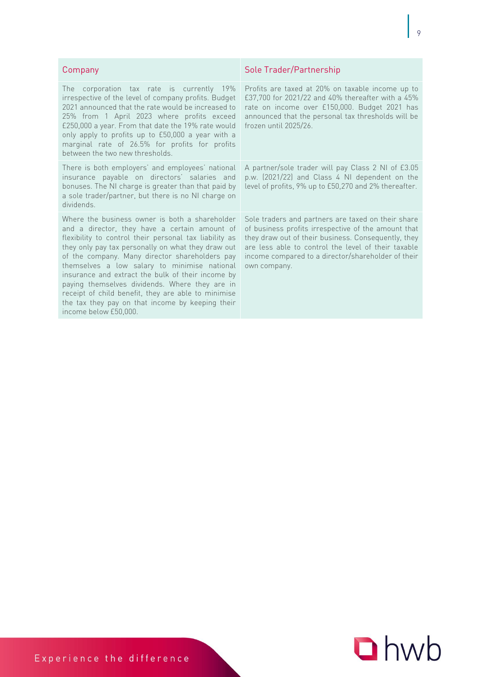| Company                                                                                                                                                                                                                                                                                                                                                                                                                                                                                                                                                      | Sole Trader/Partnership                                                                                                                                                                                                                                                                       |
|--------------------------------------------------------------------------------------------------------------------------------------------------------------------------------------------------------------------------------------------------------------------------------------------------------------------------------------------------------------------------------------------------------------------------------------------------------------------------------------------------------------------------------------------------------------|-----------------------------------------------------------------------------------------------------------------------------------------------------------------------------------------------------------------------------------------------------------------------------------------------|
| corporation tax rate is currently 19%<br>The l<br>irrespective of the level of company profits. Budget<br>2021 announced that the rate would be increased to<br>25% from 1 April 2023 where profits exceed<br>£250,000 a year. From that date the 19% rate would<br>only apply to profits up to £50,000 a year with a<br>marginal rate of 26.5% for profits for profits<br>between the two new thresholds.                                                                                                                                                   | Profits are taxed at 20% on taxable income up to<br>£37,700 for 2021/22 and 40% thereafter with a 45%<br>rate on income over £150,000. Budget 2021 has<br>announced that the personal tax thresholds will be<br>frozen until 2025/26.                                                         |
| There is both employers' and employees' national<br>insurance payable on directors' salaries and<br>bonuses. The NI charge is greater than that paid by<br>a sole trader/partner, but there is no NI charge on<br>dividends.                                                                                                                                                                                                                                                                                                                                 | A partner/sole trader will pay Class 2 NI of £3.05<br>p.w. (2021/22) and Class 4 NI dependent on the<br>level of profits, 9% up to £50,270 and 2% thereafter.                                                                                                                                 |
| Where the business owner is both a shareholder<br>and a director, they have a certain amount of<br>flexibility to control their personal tax liability as<br>they only pay tax personally on what they draw out<br>of the company. Many director shareholders pay<br>themselves a low salary to minimise national<br>insurance and extract the bulk of their income by<br>paying themselves dividends. Where they are in<br>receipt of child benefit, they are able to minimise<br>the tax they pay on that income by keeping their<br>income below £50,000. | Sole traders and partners are taxed on their share<br>of business profits irrespective of the amount that<br>they draw out of their business. Consequently, they<br>are less able to control the level of their taxable<br>income compared to a director/shareholder of their<br>own company. |



Experience the difference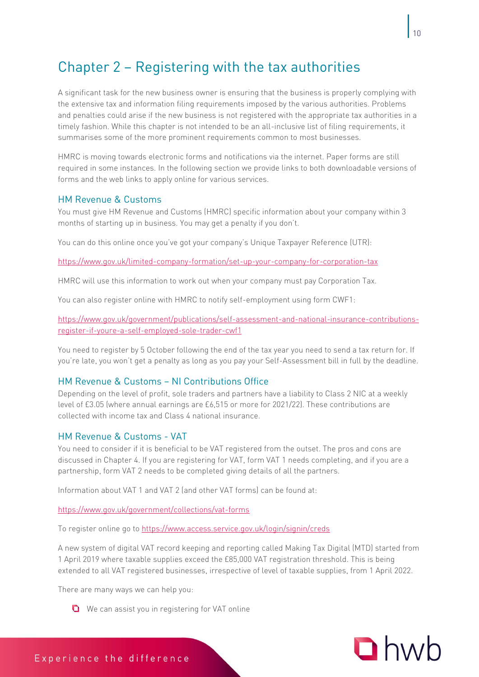# <span id="page-10-0"></span>Chapter 2 – Registering with the tax authorities

A significant task for the new business owner is ensuring that the business is properly complying with the extensive tax and information filing requirements imposed by the various authorities. Problems and penalties could arise if the new business is not registered with the appropriate tax authorities in a timely fashion. While this chapter is not intended to be an all-inclusive list of filing requirements, it summarises some of the more prominent requirements common to most businesses.

HMRC is moving towards electronic forms and notifications via the internet. Paper forms are still required in some instances. In the following section we provide links to both downloadable versions of forms and the web links to apply online for various services.

### <span id="page-10-1"></span>**HM Revenue & Customs**

.<br>You must give HM Revenue and Customs (HMRC) specific information about your company within 3 months of starting up in business. You may get a penalty if you don't.

You can do this online once you've got your company's Unique Taxpayer Reference (UTR):

<https://www.gov.uk/limited-company-formation/set-up-your-company-for-corporation-tax>

HMRC will use this information to work out when your company must pay Corporation Tax.

You can also register online with HMRC to notify self-employment using form CWF1:

[https://www.gov.uk/government/publications/self-assessment-and-national-insurance-contributions](https://www.gov.uk/government/publications/self-assessment-and-national-insurance-contributions-register-if-youre-a-self-employed-sole-trader-cwf1)[register-if-youre-a-self-employed-sole-trader-cwf1](https://www.gov.uk/government/publications/self-assessment-and-national-insurance-contributions-register-if-youre-a-self-employed-sole-trader-cwf1) 

You need to register by 5 October following the end of the tax year you need to send a tax return for. If you're late, you won't get a penalty as long as you pay your Self-Assessment bill in full by the deadline.

<span id="page-10-2"></span>HM Revenue & Customs – NI Contributions Office Depending on the level of profit, sole traders and partners have a liability to Class 2 NIC at a weekly level of £3.05 (where annual earnings are £6,515 or more for 2021/22). These contributions are collected with income tax and Class 4 national insurance.

### <span id="page-10-3"></span>HM Revenue & Customs - VAT

when the customs of the constant with the vertex that is not to constant the vertex in the pros and cons are to under the state of the prose and constant of the state of the prose and constant of the state of the state of discussed in Chapter 4. If you are registering for VAT, form VAT 1 needs completing, and if you are a partnership, form VAT 2 needs to be completed giving details of all the partners.

Information about VAT 1 and VAT 2 (and other VAT forms) can be found at:

<https://www.gov.uk/government/collections/vat-forms>

To register online go to<https://www.access.service.gov.uk/login/signin/creds>

A new system of digital VAT record keeping and reporting called Making Tax Digital (MTD) started from 1 April 2019 where taxable supplies exceed the £85,000 VAT registration threshold. This is being extended to all VAT registered businesses, irrespective of level of taxable supplies, from 1 April 2022.

There are many ways we can help you:

We can assist you in registering for VAT online

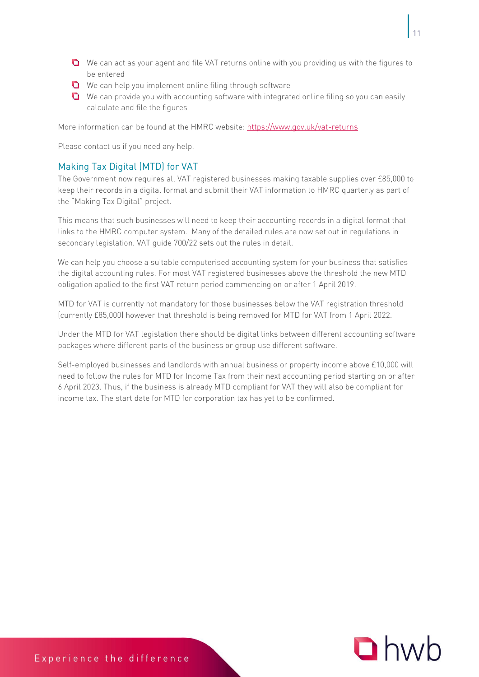- We can act as your agent and file VAT returns online with you providing us with the figures to be entered
- We can help you implement online filing through software
- We can provide you with accounting software with integrated online filing so you can easily calculate and file the figures

More information can be found at the HMRC website: https://www.gov.uk/vat-returns

Please contact us if you need any help.

<span id="page-11-0"></span>The Government now requires all VAT registered businesses making taxable supplies over £85,000 to keep their records in a digital format and submit their VAT information to HMRC quarterly as part of the "Making Tax Digital" project.

This means that such businesses will need to keep their accounting records in a digital format that links to the HMRC computer system. Many of the detailed rules are now set out in regulations in secondary legislation. VAT guide 700/22 sets out the rules in detail.

We can help you choose a suitable computerised accounting system for your business that satisfies the digital accounting rules. For most VAT registered businesses above the threshold the new MTD obligation applied to the first VAT return period commencing on or after 1 April 2019.

MTD for VAT is currently not mandatory for those businesses below the VAT registration threshold (currently £85,000) however that threshold is being removed for MTD for VAT from 1 April 2022.

Under the MTD for VAT legislation there should be digital links between different accounting software packages where different parts of the business or group use different software.

Self-employed businesses and landlords with annual business or property income above £10,000 will need to follow the rules for MTD for Income Tax from their next accounting period starting on or after 6 April 2023. Thus, if the business is already MTD compliant for VAT they will also be compliant for income tax. The start date for MTD for corporation tax has yet to be confirmed.

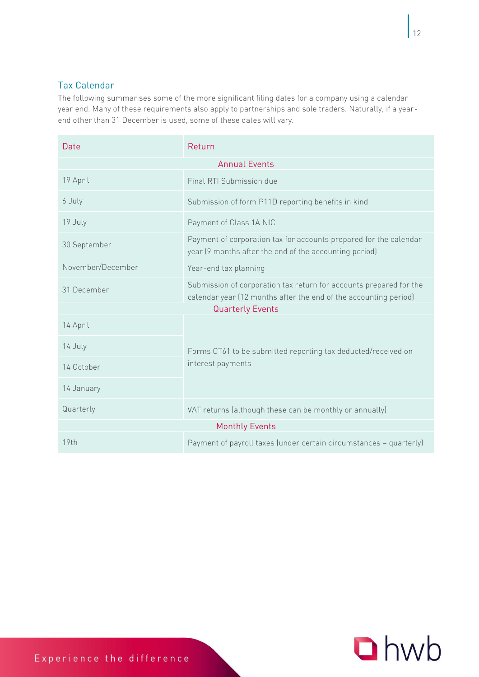### <span id="page-12-0"></span>**Tax Calendar**

Tax Calendar The following summarises some of the more significant filing dates for a company using a calendar year end. Many of these requirements also apply to partnerships and sole traders. Naturally, if a yearend other than 31 December is used, some of these dates will vary.

| Date                    | Return                                                                                                                                 |  |
|-------------------------|----------------------------------------------------------------------------------------------------------------------------------------|--|
|                         | <b>Annual Events</b>                                                                                                                   |  |
| 19 April                | Final RTI Submission due                                                                                                               |  |
| 6 July                  | Submission of form P11D reporting benefits in kind                                                                                     |  |
| 19 July                 | Payment of Class 1A NIC                                                                                                                |  |
| 30 September            | Payment of corporation tax for accounts prepared for the calendar<br>year (9 months after the end of the accounting period)            |  |
| November/December       | Year-end tax planning                                                                                                                  |  |
| 31 December             | Submission of corporation tax return for accounts prepared for the<br>calendar year (12 months after the end of the accounting period) |  |
| <b>Quarterly Events</b> |                                                                                                                                        |  |
| 14 April                |                                                                                                                                        |  |
| 14 July                 | Forms CT61 to be submitted reporting tax deducted/received on                                                                          |  |
| 14 October              | interest payments                                                                                                                      |  |
| 14 January              |                                                                                                                                        |  |
| Quarterly               | VAT returns (although these can be monthly or annually)                                                                                |  |
| <b>Monthly Events</b>   |                                                                                                                                        |  |
| 19th                    | Payment of payroll taxes (under certain circumstances - quarterly)                                                                     |  |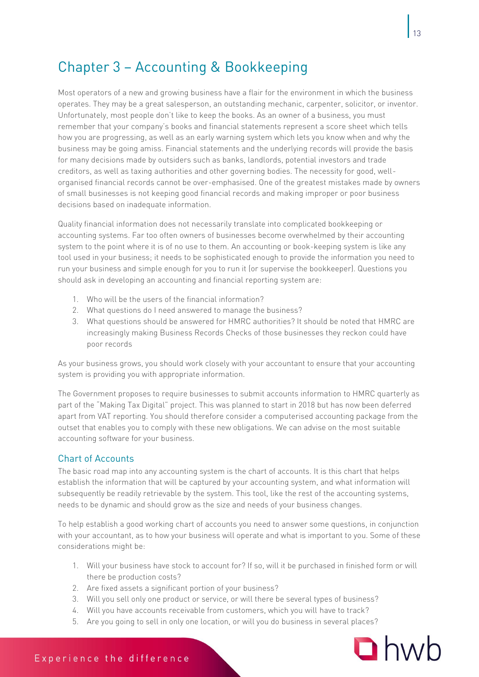# <span id="page-13-0"></span>Chapter 3 – Accounting & Bookkeeping

Most operators of a new and growing business have a flair for the environment in which the business operates. They may be a great salesperson, an outstanding mechanic, carpenter, solicitor, or inventor. Unfortunately, most people don't like to keep the books. As an owner of a business, you must remember that your company's books and financial statements represent a score sheet which tells how you are progressing, as well as an early warning system which lets you know when and why the business may be going amiss. Financial statements and the underlying records will provide the basis for many decisions made by outsiders such as banks, landlords, potential investors and trade creditors, as well as taxing authorities and other governing bodies. The necessity for good, wellorganised financial records cannot be over-emphasised. One of the greatest mistakes made by owners of small businesses is not keeping good financial records and making improper or poor business decisions based on inadequate information.

Quality financial information does not necessarily translate into complicated bookkeeping or accounting systems. Far too often owners of businesses become overwhelmed by their accounting system to the point where it is of no use to them. An accounting or book-keeping system is like any tool used in your business; it needs to be sophisticated enough to provide the information you need to run your business and simple enough for you to run it (or supervise the bookkeeper). Questions you should ask in developing an accounting and financial reporting system are:

- 1. Who will be the users of the financial information?
- 2. What questions do I need answered to manage the business?
- 3. What questions should be answered for HMRC authorities? It should be noted that HMRC are increasingly making Business Records Checks of those businesses they reckon could have poor records

As your business grows, you should work closely with your accountant to ensure that your accounting system is providing you with appropriate information.

The Government proposes to require businesses to submit accounts information to HMRC quarterly as part of the "Making Tax Digital" project. This was planned to start in 2018 but has now been deferred apart from VAT reporting. You should therefore consider a computerised accounting package from the outset that enables you to comply with these new obligations. We can advise on the most suitable accounting software for your business.

<span id="page-13-1"></span>The basic road map into any accounting system is the chart of accounts. It is this chart that helps establish the information that will be captured by your accounting system, and what information will subsequently be readily retrievable by the system. This tool, like the rest of the accounting systems, needs to be dynamic and should grow as the size and needs of your business changes.

To help establish a good working chart of accounts you need to answer some questions, in conjunction with your accountant, as to how your business will operate and what is important to you. Some of these considerations might be:

- 1. Will your business have stock to account for? If so, will it be purchased in finished form or will there be production costs?
- 2. Are fixed assets a significant portion of your business?
- 3. Will you sell only one product or service, or will there be several types of business?
- 4. Will you have accounts receivable from customers, which you will have to track?
- 5. Are you going to sell in only one location, or will you do business in several places?



### Experience the difference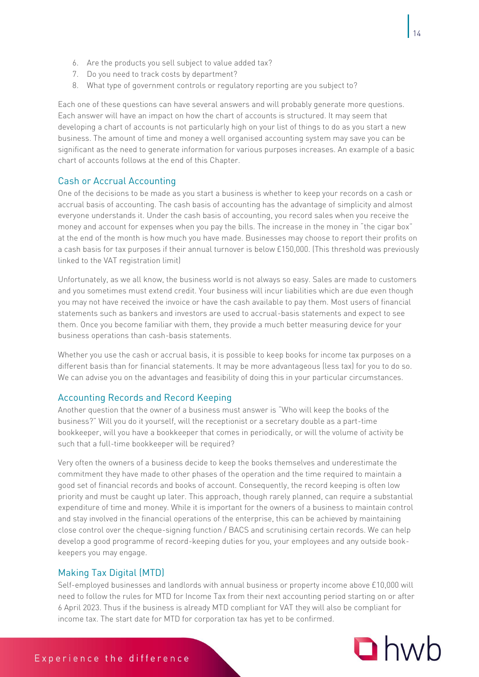- 6. Are the products you sell subject to value added tax?
- 7. Do you need to track costs by department?
- 8. What type of government controls or regulatory reporting are you subject to?

Each one of these questions can have several answers and will probably generate more questions. Each answer will have an impact on how the chart of accounts is structured. It may seem that developing a chart of accounts is not particularly high on your list of things to do as you start a new business. The amount of time and money a well organised accounting system may save you can be significant as the need to generate information for various purposes increases. An example of a basic chart of accounts follows at the end of this Chapter.

<span id="page-14-0"></span>One of the decisions to be made as you start a business is whether to keep your records on a cash or accrual basis of accounting. The cash basis of accounting has the advantage of simplicity and almost everyone understands it. Under the cash basis of accounting, you record sales when you receive the money and account for expenses when you pay the bills. The increase in the money in "the cigar box" at the end of the month is how much you have made. Businesses may choose to report their profits on a cash basis for tax purposes if their annual turnover is below £150,000. (This threshold was previously linked to the VAT registration limit)

Unfortunately, as we all know, the business world is not always so easy. Sales are made to customers and you sometimes must extend credit. Your business will incur liabilities which are due even though you may not have received the invoice or have the cash available to pay them. Most users of financial statements such as bankers and investors are used to accrual-basis statements and expect to see them. Once you become familiar with them, they provide a much better measuring device for your business operations than cash-basis statements.

Whether you use the cash or accrual basis, it is possible to keep books for income tax purposes on a different basis than for financial statements. It may be more advantageous (less tax) for you to do so. We can advise you on the advantages and feasibility of doing this in your particular circumstances.

<span id="page-14-1"></span>لاد الله جان بين Another question that the owner of a business must answer is "Who will keep the books of the business?" Will you do it yourself, will the receptionist or a secretary double as a part-time bookkeeper, will you have a bookkeeper that comes in periodically, or will the volume of activity be such that a full-time bookkeeper will be required?

Very often the owners of a business decide to keep the books themselves and underestimate the commitment they have made to other phases of the operation and the time required to maintain a good set of financial records and books of account. Consequently, the record keeping is often low priority and must be caught up later. This approach, though rarely planned, can require a substantial expenditure of time and money. While it is important for the owners of a business to maintain control and stay involved in the financial operations of the enterprise, this can be achieved by maintaining close control over the cheque-signing function / BACS and scrutinising certain records. We can help develop a good programme of record-keeping duties for you, your employees and any outside bookkeepers you may engage.

<span id="page-14-2"></span>Making Tax Digital (MTD) Self-employed businesses and landlords with annual business or property income above £10,000 will need to follow the rules for MTD for Income Tax from their next accounting period starting on or after 6 April 2023. Thus if the business is already MTD compliant for VAT they will also be compliant for income tax. The start date for MTD for corporation tax has yet to be confirmed.

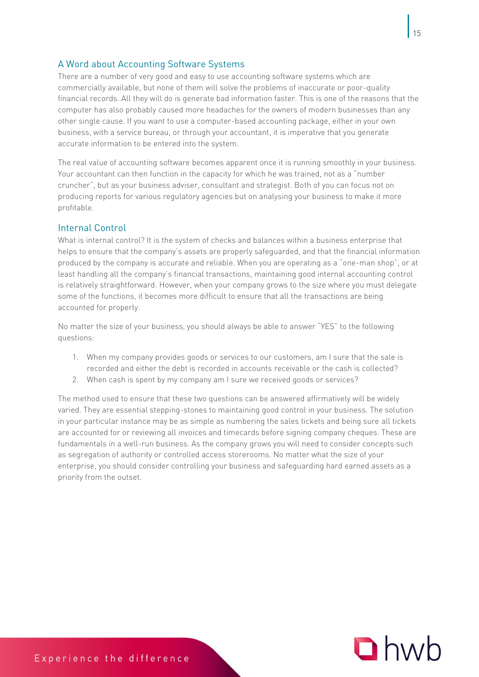<span id="page-15-0"></span>There are a number of very good and easy to use accounting software systems which are commercially available, but none of them will solve the problems of inaccurate or poor-quality financial records. All they will do is generate bad information faster. This is one of the reasons that the computer has also probably caused more headaches for the owners of modern businesses than any other single cause. If you want to use a computer-based accounting package, either in your own business, with a service bureau, or through your accountant, it is imperative that you generate accurate information to be entered into the system.

The real value of accounting software becomes apparent once it is running smoothly in your business. Your accountant can then function in the capacity for which he was trained, not as a "number cruncher", but as your business adviser, consultant and strategist. Both of you can focus not on producing reports for various regulatory agencies but on analysing your business to make it more profitable.

### <span id="page-15-1"></span>**Internal Control**

Internal Control What is internal control? It is the system of checks and balances within a business enterprise that helps to ensure that the company's assets are properly safeguarded, and that the financial information produced by the company is accurate and reliable. When you are operating as a "one-man shop", or at least handling all the company's financial transactions, maintaining good internal accounting control is relatively straightforward. However, when your company grows to the size where you must delegate some of the functions, it becomes more difficult to ensure that all the transactions are being accounted for properly.

No matter the size of your business, you should always be able to answer "YES" to the following questions:

- 1. When my company provides goods or services to our customers, am I sure that the sale is recorded and either the debt is recorded in accounts receivable or the cash is collected?
- 2. When cash is spent by my company am I sure we received goods or services?

The method used to ensure that these two questions can be answered affirmatively will be widely varied. They are essential stepping-stones to maintaining good control in your business. The solution in your particular instance may be as simple as numbering the sales tickets and being sure all tickets are accounted for or reviewing all invoices and timecards before signing company cheques. These are fundamentals in a well-run business. As the company grows you will need to consider concepts such as segregation of authority or controlled access storerooms. No matter what the size of your enterprise, you should consider controlling your business and safeguarding hard earned assets as a priority from the outset.

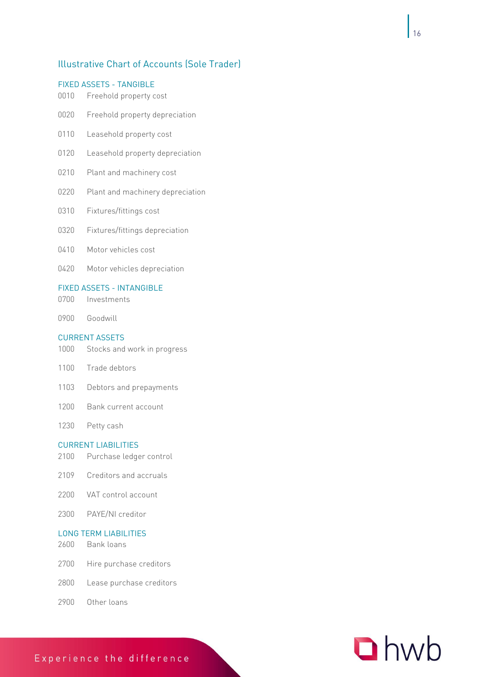# <span id="page-16-0"></span>Illustrative Chart of Accounts (Sole Trader)

- 0010 Freehold property cost
- 0020 Freehold property depreciation
- 0110 Leasehold property cost
- 0120 Leasehold property depreciation
- 0210 Plant and machinery cost
- 0220 Plant and machinery depreciation
- 0310 Fixtures/fittings cost
- 0320 Fixtures/fittings depreciation
- 0410 Motor vehicles cost
- 0420 Motor vehicles depreciation

### FIXED ASSETS - INTANGIBLE

- 0700 Investments
- 0900 Goodwill

- 1000 Stocks and work in progress
- 1100 Trade debtors
- 1103 Debtors and prepayments
- 1200 Bank current account
- 1230 Petty cash

### **CURRENT LIABILITIES**

- 2100 Purchase ledger control
- 2109 Creditors and accruals
- 2200 VAT control account
- 2300 PAYE/NI creditor

### **LONG TERM LIABILITIES**

- LONG TERM LIABILITIES 2600 Bank loans
- 2700 Hire purchase creditors
- 2800 Lease purchase creditors
- 2900 Other loans

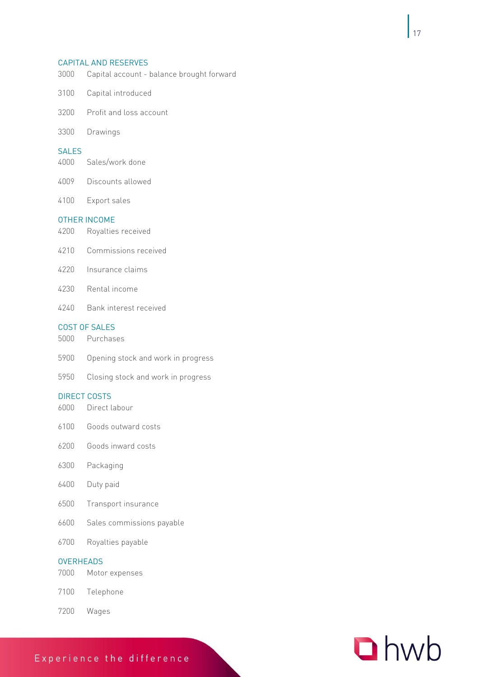- 3000 Capital account balance brought forward
- Capital introduced
- Profit and loss account
- Drawings

### SAI FS

- Sales/work done
- Discounts allowed
- Export sales

- and an arrival come<br>4200 Royalties received
- Commissions received
- Insurance claims
- Rental income
- Bank interest received

- 5000 Purchases
- Opening stock and work in progress
- Closing stock and work in progress

### DIRECT COSTS

- sunder direct labour
- Goods outward costs
- Goods inward costs
- Packaging
- Duty paid
- Transport insurance
- Sales commissions payable
- Royalties payable

### **OVERHEADS**

- Motor expenses
- Telephone
- Wages

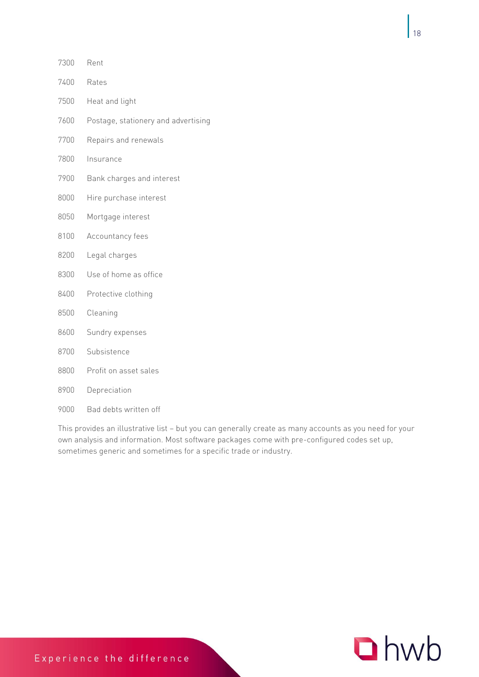| 7300 | Rent                                |
|------|-------------------------------------|
| 7400 | Rates                               |
| 7500 | Heat and light                      |
| 7600 | Postage, stationery and advertising |
| 7700 | Repairs and renewals                |
| 7800 | Insurance                           |
| 7900 | Bank charges and interest           |
| 8000 | Hire purchase interest              |
| 8050 | Mortgage interest                   |
| 8100 | Accountancy fees                    |
| 8200 | Legal charges                       |
| 8300 | Use of home as office               |
| 8400 | Protective clothing                 |
| 8500 | Cleaning                            |
| 8600 | Sundry expenses                     |
| 8700 | Subsistence                         |
| 8800 | Profit on asset sales               |
| 8900 | Depreciation                        |

Bad debts written off

This provides an illustrative list – but you can generally create as many accounts as you need for your own analysis and information. Most software packages come with pre-configured codes set up, sometimes generic and sometimes for a specific trade or industry.

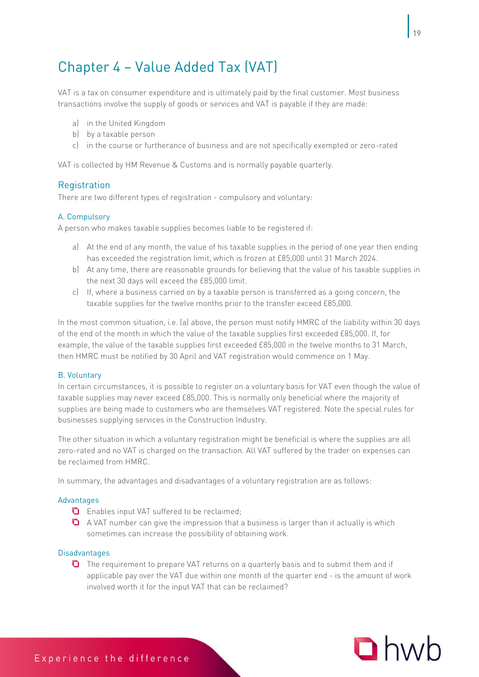# <span id="page-19-0"></span>Chapter 4 – Value Added Tax (VAT)

VAT is a tax on consumer expenditure and is ultimately paid by the final customer. Most business transactions involve the supply of goods or services and VAT is payable if they are made:

- a) in the United Kingdom
- b) by a taxable person
- c) in the course or furtherance of business and are not specifically exempted or zero-rated

VAT is collected by HM Revenue & Customs and is normally payable quarterly.

<span id="page-19-1"></span>ر<br>There are two different types of registration - compulsory and voluntary:

A. Compulsory A person who makes taxable supplies becomes liable to be registered if:

- a) At the end of any month, the value of his taxable supplies in the period of one year then ending has exceeded the registration limit, which is frozen at £85,000 until 31 March 2024.
- b) At any time, there are reasonable grounds for believing that the value of his taxable supplies in the next 30 days will exceed the £85,000 limit.
- c) If, where a business carried on by a taxable person is transferred as a going concern, the taxable supplies for the twelve months prior to the transfer exceed £85,000.

In the most common situation, i.e. (a) above, the person must notify HMRC of the liability within 30 days of the end of the month in which the value of the taxable supplies first exceeded £85,000. If, for example, the value of the taxable supplies first exceeded £85,000 in the twelve months to 31 March, then HMRC must be notified by 30 April and VAT registration would commence on 1 May.

### **B. Voluntary**

In certain circumstances, it is possible to register on a voluntary basis for VAT even though the value of taxable supplies may never exceed £85,000. This is normally only beneficial where the majority of supplies are being made to customers who are themselves VAT registered. Note the special rules for businesses supplying services in the Construction Industry.

The other situation in which a voluntary registration might be beneficial is where the supplies are all zero-rated and no VAT is charged on the transaction. All VAT suffered by the trader on expenses can be reclaimed from HMRC.

In summary, the advantages and disadvantages of a voluntary registration are as follows:

- $\overline{Q}$  Enables input VAT suffered to be reclaimed;
	- $\Box$  A VAT number can give the impression that a business is larger than it actually is which sometimes can increase the possibility of obtaining work.

 $\overline{O}$  The requirement to prepare VAT returns on a quarterly basis and to submit them and if applicable pay over the VAT due within one month of the quarter end - is the amount of work involved worth it for the input VAT that can be reclaimed?

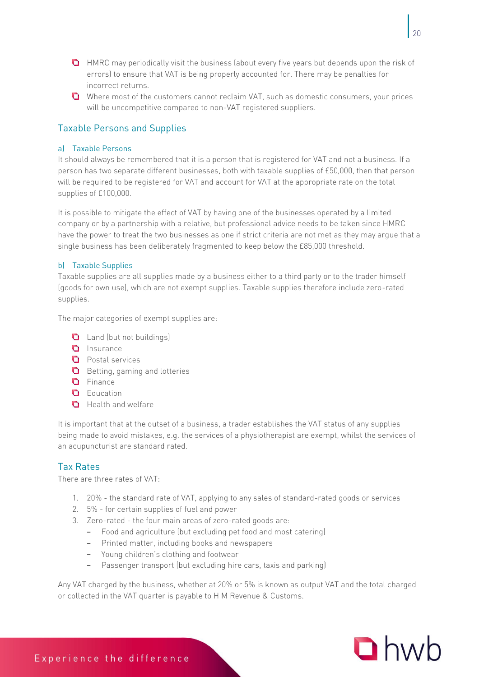- **D** HMRC may periodically visit the business (about every five years but depends upon the risk of errors) to ensure that VAT is being properly accounted for. There may be penalties for incorrect returns.
- Where most of the customers cannot reclaim VAT, such as domestic consumers, your prices will be uncompetitive compared to non-VAT registered suppliers.

# <span id="page-20-0"></span>Taxable Persons and Supplies

### al Taxable Persons

. .<br>It should always be remembered that it is a person that is registered for VAT and not a business. If a person has two separate different businesses, both with taxable supplies of £50,000, then that person will be required to be registered for VAT and account for VAT at the appropriate rate on the total supplies of £100,000.

It is possible to mitigate the effect of VAT by having one of the businesses operated by a limited company or by a partnership with a relative, but professional advice needs to be taken since HMRC have the power to treat the two businesses as one if strict criteria are not met as they may argue that a single business has been deliberately fragmented to keep below the £85,000 threshold.

b) Taxable Supplies Taxable supplies are all supplies made by a business either to a third party or to the trader himself (goods for own use), which are not exempt supplies. Taxable supplies therefore include zero-rated supplies.

The major categories of exempt supplies are:

- **Q** Land (but not buildings)
- **D** Insurance
- **D** Postal services
- **Betting, gaming and lotteries**
- **D** Finance
- **D** Education
- **C** Health and welfare

It is important that at the outset of a business, a trader establishes the VAT status of any supplies being made to avoid mistakes, e.g. the services of a physiotherapist are exempt, whilst the services of an acupuncturist are standard rated.

### <span id="page-20-1"></span>**Tax Rates**

There are three rates of VAT:

- 1. 20% the standard rate of VAT, applying to any sales of standard-rated goods or services
- 2. 5% for certain supplies of fuel and power
- 3. Zero-rated the four main areas of zero-rated goods are:
	- − Food and agriculture (but excluding pet food and most catering)
	- − Printed matter, including books and newspapers
	- − Young children's clothing and footwear
	- Passenger transport (but excluding hire cars, taxis and parking)

Any VAT charged by the business, whether at 20% or 5% is known as output VAT and the total charged or collected in the VAT quarter is payable to H M Revenue & Customs.

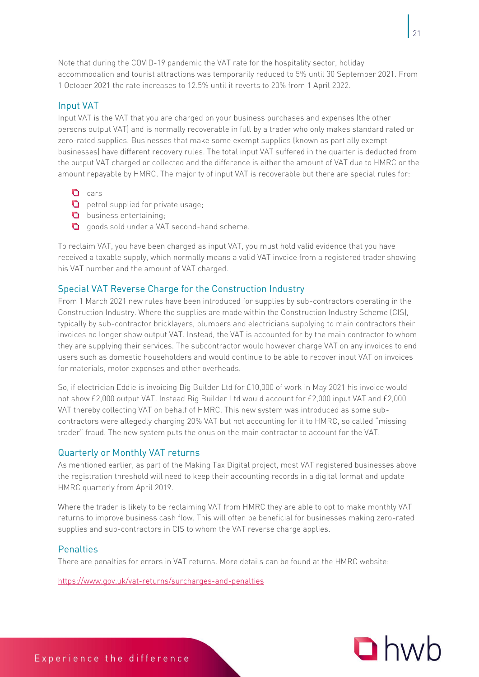Note that during the COVID-19 pandemic the VAT rate for the hospitality sector, holiday accommodation and tourist attractions was temporarily reduced to 5% until 30 September 2021. From 1 October 2021 the rate increases to 12.5% until it reverts to 20% from 1 April 2022.

<span id="page-21-0"></span>Input VAT Input VAT is the VAT that you are charged on your business purchases and expenses (the other persons output VAT) and is normally recoverable in full by a trader who only makes standard rated or zero-rated supplies. Businesses that make some exempt supplies (known as partially exempt businesses) have different recovery rules. The total input VAT suffered in the quarter is deducted from the output VAT charged or collected and the difference is either the amount of VAT due to HMRC or the amount repayable by HMRC. The majority of input VAT is recoverable but there are special rules for:

- **Q** cars
- **Q** petrol supplied for private usage;
- **business entertaining;**
- **Q** goods sold under a VAT second-hand scheme.

To reclaim VAT, you have been charged as input VAT, you must hold valid evidence that you have received a taxable supply, which normally means a valid VAT invoice from a registered trader showing his VAT number and the amount of VAT charged.

<span id="page-21-1"></span>ر<br>From 1 March 2021 new rules have been introduced for supplies by sub-contractors operating in the Construction Industry. Where the supplies are made within the Construction Industry Scheme (CIS), typically by sub-contractor bricklayers, plumbers and electricians supplying to main contractors their invoices no longer show output VAT. Instead, the VAT is accounted for by the main contractor to whom they are supplying their services. The subcontractor would however charge VAT on any invoices to end users such as domestic householders and would continue to be able to recover input VAT on invoices for materials, motor expenses and other overheads.

So, if electrician Eddie is invoicing Big Builder Ltd for £10,000 of work in May 2021 his invoice would not show £2,000 output VAT. Instead Big Builder Ltd would account for £2,000 input VAT and £2,000 VAT thereby collecting VAT on behalf of HMRC. This new system was introduced as some subcontractors were allegedly charging 20% VAT but not accounting for it to HMRC, so called "missing trader" fraud. The new system puts the onus on the main contractor to account for the VAT.

<span id="page-21-2"></span>)<br>As mentioned earlier, as part of the Making Tax Digital project, most VAT registered businesses above the registration threshold will need to keep their accounting records in a digital format and update HMRC quarterly from April 2019.

Where the trader is likely to be reclaiming VAT from HMRC they are able to opt to make monthly VAT returns to improve business cash flow. This will often be beneficial for businesses making zero-rated supplies and sub-contractors in CIS to whom the VAT reverse charge applies.

<span id="page-21-3"></span>.<br>There are penalties for errors in VAT returns. More details can be found at the HMRC website:

<https://www.gov.uk/vat-returns/surcharges-and-penalties>

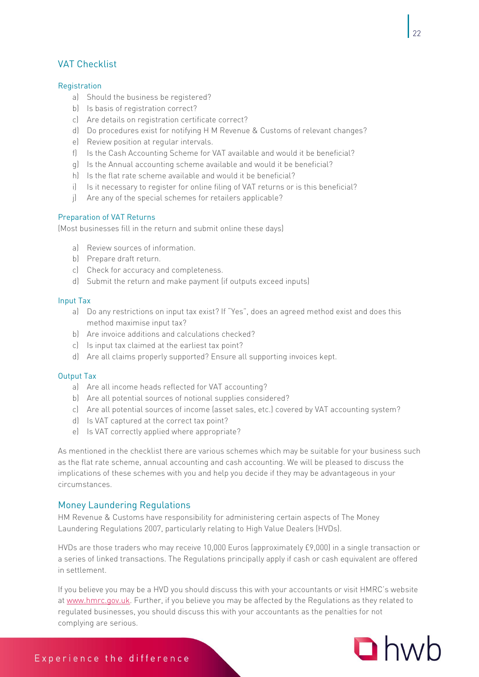### <span id="page-22-0"></span>**VAT Checklist**

### Registration

- a) Should the business be registered?
	- b) Is basis of registration correct?
	- c) Are details on registration certificate correct?
	- d) Do procedures exist for notifying H M Revenue & Customs of relevant changes?
	- e) Review position at regular intervals.
	- f) Is the Cash Accounting Scheme for VAT available and would it be beneficial?
	- g) Is the Annual accounting scheme available and would it be beneficial?
	- h) Is the flat rate scheme available and would it be beneficial?
	- i) Is it necessary to register for online filing of VAT returns or is this beneficial?
	- j) Are any of the special schemes for retailers applicable?

In the station of the Vatin of Vatin Christ (Most businesses fill in the return and submit online these days)

- a) Review sources of information.
- b) Prepare draft return.
- c) Check for accuracy and completeness.
- d) Submit the return and make payment (if outputs exceed inputs)

- Input Tax a) Do any restrictions on input tax exist? If "Yes", does an agreed method exist and does this method maximise input tax?
	- b) Are invoice additions and calculations checked?
	- c) Is input tax claimed at the earliest tax point?
	- d) Are all claims properly supported? Ensure all supporting invoices kept.

### **Output Tax**

- a) Are all income heads reflected for VAT accounting?
	- b) Are all potential sources of notional supplies considered?
	- c) Are all potential sources of income (asset sales, etc.) covered by VAT accounting system?
	- d) Is VAT captured at the correct tax point?
	- e) Is VAT correctly applied where appropriate?

As mentioned in the checklist there are various schemes which may be suitable for your business such as the flat rate scheme, annual accounting and cash accounting. We will be pleased to discuss the implications of these schemes with you and help you decide if they may be advantageous in your circumstances.

<span id="page-22-1"></span>HM Revenue & Customs have responsibility for administering certain aspects of The Money Laundering Regulations 2007, particularly relating to High Value Dealers (HVDs).

HVDs are those traders who may receive 10,000 Euros (approximately £9,000) in a single transaction or a series of linked transactions. The Regulations principally apply if cash or cash equivalent are offered in settlement.

If you believe you may be a HVD you should discuss this with your accountants or visit HMRC's website at [www.hmrc.gov.uk.](http://www.hmrc.gov.uk/) Further, if you believe you may be affected by the Regulations as they related to regulated businesses, you should discuss this with your accountants as the penalties for not complying are serious.

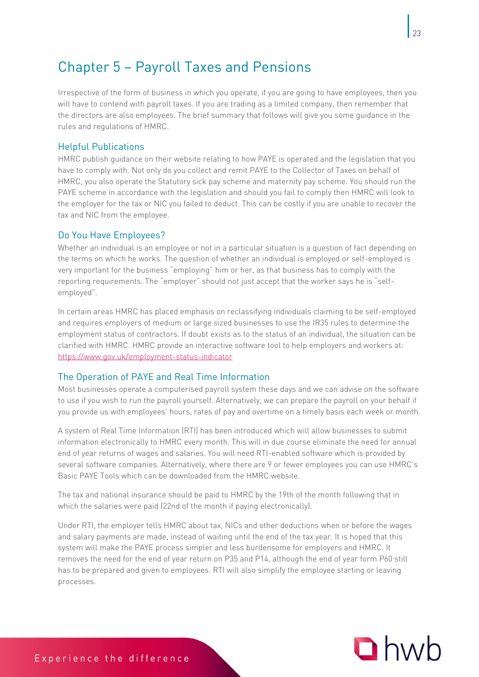# <span id="page-23-0"></span>Chapter 5 – Payroll Taxes and Pensions

Irrespective of the form of business in which you operate, if you are going to have employees, then you will have to contend with payroll taxes. If you are trading as a limited company, then remember that the directors are also employees. The brief summary that follows will give you some guidance in the rules and regulations of HMRC.

<span id="page-23-1"></span>...................................<br>HMRC publish guidance on their website relating to how PAYE is operated and the legislation that you have to comply with. Not only do you collect and remit PAYE to the Collector of Taxes on behalf of HMRC, you also operate the Statutory sick pay scheme and maternity pay scheme. You should run the PAYE scheme in accordance with the legislation and should you fail to comply then HMRC will look to the employer for the tax or NIC you failed to deduct. This can be costly if you are unable to recover the tax and NIC from the employee.

<span id="page-23-2"></span>es when we very employed?<br>Whether an individual is an employee or not in a particular situation is a question of fact depending on the terms on which he works. The question of whether an individual is employed or self-employed is very important for the business "employing" him or her, as that business has to comply with the reporting requirements. The "employer" should not just accept that the worker says he is "selfemployed".

In certain areas HMRC has placed emphasis on reclassifying individuals claiming to be self-employed and requires employers of medium or large sized businesses to use the IR35 rules to determine the employment status of contractors. If doubt exists as to the status of an individual, the situation can be clarified with HMRC. HMRC provide an interactive software tool to help employers and workers at: <https://www.gov.uk/employment-status-indicator>

<span id="page-23-3"></span>I<br>Most businesses operate a computerised payroll system these days and we can advise on the software to use if you wish to run the payroll yourself. Alternatively, we can prepare the payroll on your behalf if you provide us with employees' hours, rates of pay and overtime on a timely basis each week or month.

A system of Real Time Information (RTI) has been introduced which will allow businesses to submit information electronically to HMRC every month. This will in due course eliminate the need for annual end of year returns of wages and salaries. You will need RTI-enabled software which is provided by several software companies. Alternatively, where there are 9 or fewer employees you can use HMRC's Basic PAYE Tools which can be downloaded from the HMRC website.

The tax and national insurance should be paid to HMRC by the 19th of the month following that in which the salaries were paid (22nd of the month if paying electronically).

Under RTI, the employer tells HMRC about tax, NICs and other deductions when or before the wages and salary payments are made, instead of waiting until the end of the tax year. It is hoped that this system will make the PAYE process simpler and less burdensome for employers and HMRC. It removes the need for the end of year return on P35 and P14, although the end of year form P60 still has to be prepared and given to employees. RTI will also simplify the employee starting or leaving processes.

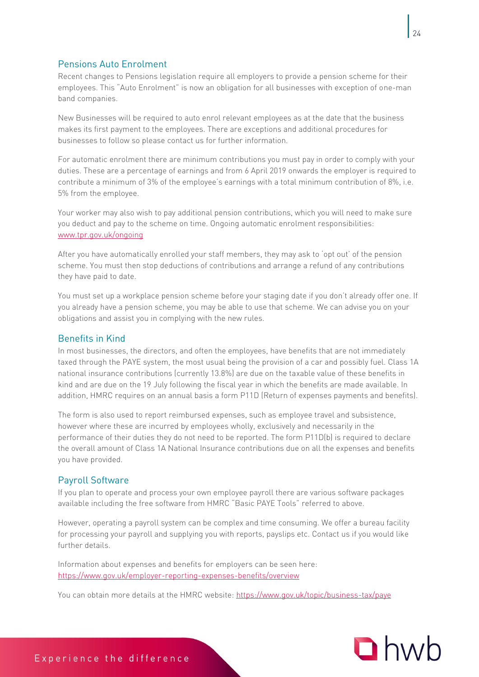<span id="page-24-0"></span>Recent changes to Pensions legislation require all employers to provide a pension scheme for their employees. This "Auto Enrolment" is now an obligation for all businesses with exception of one-man band companies.

New Businesses will be required to auto enrol relevant employees as at the date that the business makes its first payment to the employees. There are exceptions and additional procedures for businesses to follow so please contact us for further information.

For automatic enrolment there are minimum contributions you must pay in order to comply with your duties. These are a percentage of earnings and from 6 April 2019 onwards the employer is required to contribute a minimum of 3% of the employee's earnings with a total minimum contribution of 8%, i.e. 5% from the employee.

Your worker may also wish to pay additional pension contributions, which you will need to make sure you deduct and pay to the scheme on time. Ongoing automatic enrolment responsibilities: [www.tpr.gov.uk/ongoing](http://www.tpr.gov.uk/ongoing)

After you have automatically enrolled your staff members, they may ask to 'opt out' of the pension scheme. You must then stop deductions of contributions and arrange a refund of any contributions they have paid to date.

You must set up a workplace pension scheme before your staging date if you don't already offer one. If you already have a pension scheme, you may be able to use that scheme. We can advise you on your obligations and assist you in complying with the new rules.

### <span id="page-24-1"></span>**Benefits in Kind**

In most businesses, the directors, and often the employees, have benefits that are not immediately taxed through the PAYE system, the most usual being the provision of a car and possibly fuel. Class 1A national insurance contributions (currently 13.8%) are due on the taxable value of these benefits in kind and are due on the 19 July following the fiscal year in which the benefits are made available. In addition, HMRC requires on an annual basis a form P11D (Return of expenses payments and benefits).

The form is also used to report reimbursed expenses, such as employee travel and subsistence, however where these are incurred by employees wholly, exclusively and necessarily in the performance of their duties they do not need to be reported. The form P11D(b) is required to declare the overall amount of Class 1A National Insurance contributions due on all the expenses and benefits you have provided.

<span id="page-24-2"></span>Payroll Software If you plan to operate and process your own employee payroll there are various software packages available including the free software from HMRC "Basic PAYE Tools" referred to above.

However, operating a payroll system can be complex and time consuming. We offer a bureau facility for processing your payroll and supplying you with reports, payslips etc. Contact us if you would like further details.

Information about expenses and benefits for employers can be seen here: <https://www.gov.uk/employer-reporting-expenses-benefits/overview>

You can obtain more details at the HMRC website:<https://www.gov.uk/topic/business-tax/paye>

24

Experience the difference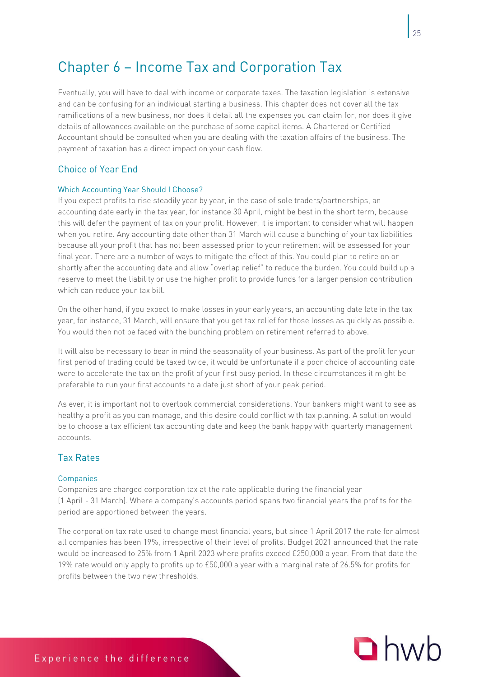# <span id="page-25-0"></span>Chapter 6 – Income Tax and Corporation Tax

Eventually, you will have to deal with income or corporate taxes. The taxation legislation is extensive and can be confusing for an individual starting a business. This chapter does not cover all the tax ramifications of a new business, nor does it detail all the expenses you can claim for, nor does it give details of allowances available on the purchase of some capital items. A Chartered or Certified Accountant should be consulted when you are dealing with the taxation affairs of the business. The payment of taxation has a direct impact on your cash flow.

### <span id="page-25-1"></span>**Choice of Year Fnd**

لار<br>If you expect profits to rise steadily year by year, in the case of sole traders/partnerships, an accounting date early in the tax year, for instance 30 April, might be best in the short term, because this will defer the payment of tax on your profit. However, it is important to consider what will happen when you retire. Any accounting date other than 31 March will cause a bunching of your tax liabilities because all your profit that has not been assessed prior to your retirement will be assessed for your final year. There are a number of ways to mitigate the effect of this. You could plan to retire on or shortly after the accounting date and allow "overlap relief" to reduce the burden. You could build up a reserve to meet the liability or use the higher profit to provide funds for a larger pension contribution which can reduce your tax bill.

On the other hand, if you expect to make losses in your early years, an accounting date late in the tax year, for instance, 31 March, will ensure that you get tax relief for those losses as quickly as possible. You would then not be faced with the bunching problem on retirement referred to above.

It will also be necessary to bear in mind the seasonality of your business. As part of the profit for your first period of trading could be taxed twice, it would be unfortunate if a poor choice of accounting date were to accelerate the tax on the profit of your first busy period. In these circumstances it might be preferable to run your first accounts to a date just short of your peak period.

As ever, it is important not to overlook commercial considerations. Your bankers might want to see as healthy a profit as you can manage, and this desire could conflict with tax planning. A solution would be to choose a tax efficient tax accounting date and keep the bank happy with quarterly management accounts.

### <span id="page-25-2"></span>**Tax Rates**

Companies Companies are charged corporation tax at the rate applicable during the financial year (1 April - 31 March). Where a company's accounts period spans two financial years the profits for the period are apportioned between the years.

The corporation tax rate used to change most financial years, but since 1 April 2017 the rate for almost all companies has been 19%, irrespective of their level of profits. Budget 2021 announced that the rate would be increased to 25% from 1 April 2023 where profits exceed £250,000 a year. From that date the 19% rate would only apply to profits up to £50,000 a year with a marginal rate of 26.5% for profits for profits between the two new thresholds.

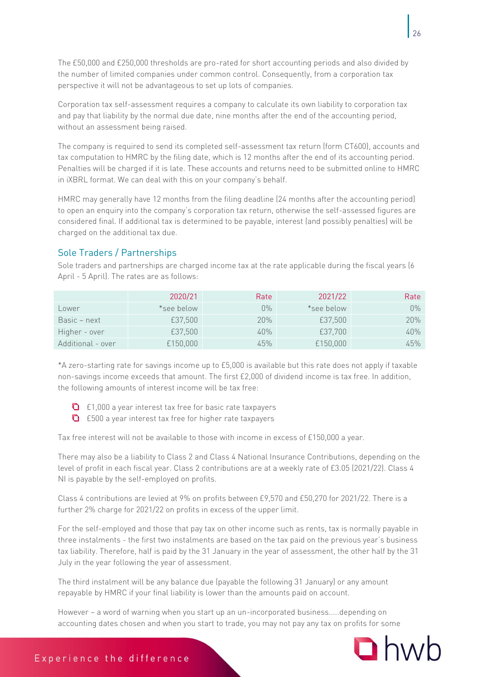The £50,000 and £250,000 thresholds are pro-rated for short accounting periods and also divided by the number of limited companies under common control. Consequently, from a corporation tax perspective it will not be advantageous to set up lots of companies.

Corporation tax self-assessment requires a company to calculate its own liability to corporation tax and pay that liability by the normal due date, nine months after the end of the accounting period, without an assessment being raised.

The company is required to send its completed self-assessment tax return (form CT600), accounts and tax computation to HMRC by the filing date, which is 12 months after the end of its accounting period. Penalties will be charged if it is late. These accounts and returns need to be submitted online to HMRC in iXBRL format. We can deal with this on your company's behalf.

HMRC may generally have 12 months from the filing deadline (24 months after the accounting period) to open an enquiry into the company's corporation tax return, otherwise the self-assessed figures are considered final. If additional tax is determined to be payable, interest (and possibly penalties) will be charged on the additional tax due.

<span id="page-26-0"></span>sole traders and partnerships are charged income tax at the rate applicable during the fiscal years (6  $\,$ April - 5 April). The rates are as follows:

|                   | 2020/21    | Rate  | 2021/22    | Rate  |
|-------------------|------------|-------|------------|-------|
| Lower             | *see below | $0\%$ | *see below | $0\%$ |
| Basic – next      | £37,500    | 20%   | £37.500    | 20%   |
| Higher - over     | £37,500    | 40%   | £37.700    | 40%   |
| Additional - over | £150,000   | 45%   | £150,000   | 45%   |

\*A zero-starting rate for savings income up to £5,000 is available but this rate does not apply if taxable non-savings income exceeds that amount. The first £2,000 of dividend income is tax free. In addition, the following amounts of interest income will be tax free:

- **1** £1,000 a year interest tax free for basic rate taxpayers
- £500 a year interest tax free for higher rate taxpayers

Tax free interest will not be available to those with income in excess of £150,000 a year.

There may also be a liability to Class 2 and Class 4 National Insurance Contributions, depending on the level of profit in each fiscal year. Class 2 contributions are at a weekly rate of £3.05 (2021/22). Class 4 NI is payable by the self-employed on profits.

Class 4 contributions are levied at 9% on profits between £9,570 and £50,270 for 2021/22. There is a further 2% charge for 2021/22 on profits in excess of the upper limit.

For the self-employed and those that pay tax on other income such as rents, tax is normally payable in three instalments - the first two instalments are based on the tax paid on the previous year's business tax liability. Therefore, half is paid by the 31 January in the year of assessment, the other half by the 31 July in the year following the year of assessment.

The third instalment will be any balance due (payable the following 31 January) or any amount repayable by HMRC if your final liability is lower than the amounts paid on account.

However – a word of warning when you start up an un-incorporated business.....depending on accounting dates chosen and when you start to trade, you may not pay any tax on profits for some

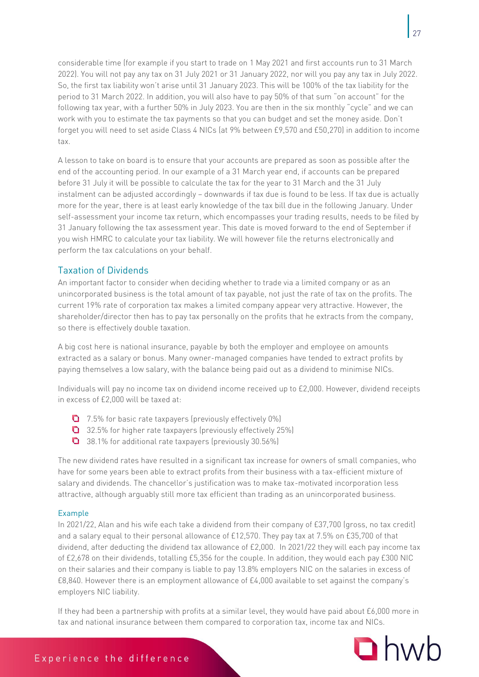considerable time (for example if you start to trade on 1 May 2021 and first accounts run to 31 March 2022). You will not pay any tax on 31 July 2021 or 31 January 2022, nor will you pay any tax in July 2022. So, the first tax liability won't arise until 31 January 2023. This will be 100% of the tax liability for the period to 31 March 2022. In addition, you will also have to pay 50% of that sum "on account" for the following tax year, with a further 50% in July 2023. You are then in the six monthly "cycle" and we can work with you to estimate the tax payments so that you can budget and set the money aside. Don't forget you will need to set aside Class 4 NICs (at 9% between £9,570 and £50,270) in addition to income tax.

A lesson to take on board is to ensure that your accounts are prepared as soon as possible after the end of the accounting period. In our example of a 31 March year end, if accounts can be prepared before 31 July it will be possible to calculate the tax for the year to 31 March and the 31 July instalment can be adjusted accordingly – downwards if tax due is found to be less. If tax due is actually more for the year, there is at least early knowledge of the tax bill due in the following January. Under self-assessment your income tax return, which encompasses your trading results, needs to be filed by 31 January following the tax assessment year. This date is moved forward to the end of September if you wish HMRC to calculate your tax liability. We will however file the returns electronically and perform the tax calculations on your behalf.

### <span id="page-27-0"></span>**Taxation of Dividends**

An important factor to consider when deciding whether to trade via a limited company or as an unincorporated business is the total amount of tax payable, not just the rate of tax on the profits. The current 19% rate of corporation tax makes a limited company appear very attractive. However, the shareholder/director then has to pay tax personally on the profits that he extracts from the company, so there is effectively double taxation.

A big cost here is national insurance, payable by both the employer and employee on amounts extracted as a salary or bonus. Many owner-managed companies have tended to extract profits by paying themselves a low salary, with the balance being paid out as a dividend to minimise NICs.

Individuals will pay no income tax on dividend income received up to £2,000. However, dividend receipts in excess of £2,000 will be taxed at:

- 7.5% for basic rate taxpayers (previously effectively 0%)
- **Q** 32.5% for higher rate taxpayers (previously effectively 25%)
- **1** 38.1% for additional rate taxpayers (previously 30.56%)

The new dividend rates have resulted in a significant tax increase for owners of small companies, who have for some years been able to extract profits from their business with a tax-efficient mixture of salary and dividends. The chancellor's justification was to make tax-motivated incorporation less attractive, although arguably still more tax efficient than trading as an unincorporated business.

Example In 2021/22, Alan and his wife each take a dividend from their company of £37,700 (gross, no tax credit) and a salary equal to their personal allowance of £12,570. They pay tax at 7.5% on £35,700 of that dividend, after deducting the dividend tax allowance of £2,000. In 2021/22 they will each pay income tax of £2,678 on their dividends, totalling £5,356 for the couple. In addition, they would each pay £300 NIC on their salaries and their company is liable to pay 13.8% employers NIC on the salaries in excess of £8,840. However there is an employment allowance of £4,000 available to set against the company's employers NIC liability.

If they had been a partnership with profits at a similar level, they would have paid about £6,000 more in tax and national insurance between them compared to corporation tax, income tax and NICs.

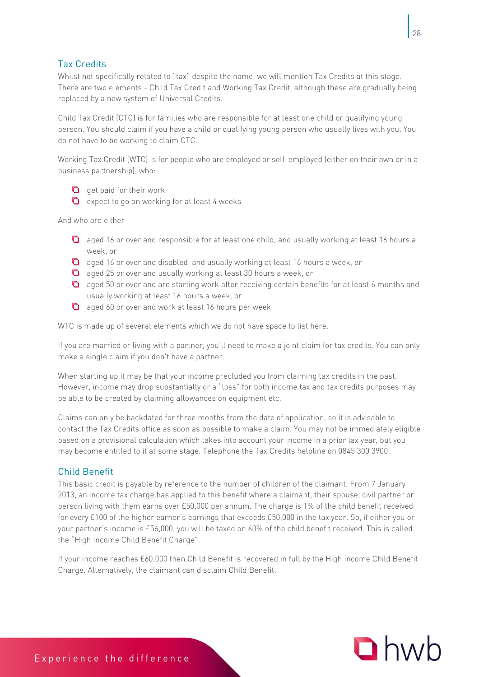<span id="page-28-0"></span>Whilst not specifically related to "tax" despite the name, we will mention Tax Credits at this stage. There are two elements - Child Tax Credit and Working Tax Credit, although these are gradually being replaced by a new system of Universal Credits.

Child Tax Credit (CTC) is for families who are responsible for at least one child or qualifying young person. You should claim if you have a child or qualifying young person who usually lives with you. You do not have to be working to claim CTC.

Working Tax Credit (WTC) is for people who are employed or self-employed (either on their own or in a business partnership), who:



 $\Box$  expect to go on working for at least 4 weeks

And who are either

- **Q** aged 16 or over and responsible for at least one child, and usually working at least 16 hours a week, or
- aged 16 or over and disabled, and usually working at least 16 hours a week, or
- **Q** aged 25 or over and usually working at least 30 hours a week, or
- **Q** aged 50 or over and are starting work after receiving certain benefits for at least 6 months and usually working at least 16 hours a week, or
- **Q** aged 60 or over and work at least 16 hours per week

WTC is made up of several elements which we do not have space to list here.

If you are married or living with a partner, you'll need to make a joint claim for tax credits. You can only make a single claim if you don't have a partner.

When starting up it may be that your income precluded you from claiming tax credits in the past. However, income may drop substantially or a "loss" for both income tax and tax credits purposes may be able to be created by claiming allowances on equipment etc.

Claims can only be backdated for three months from the date of application, so it is advisable to contact the Tax Credits office as soon as possible to make a claim. You may not be immediately eligible based on a provisional calculation which takes into account your income in a prior tax year, but you may become entitled to it at some stage. Telephone the Tax Credits helpline on 0845 300 3900.

### <span id="page-28-1"></span>**Child Benefit**

This basic credit is payable by reference to the number of children of the claimant. From 7 January 2013, an income tax charge has applied to this benefit where a claimant, their spouse, civil partner or person living with them earns over £50,000 per annum. The charge is 1% of the child benefit received for every £100 of the higher earner's earnings that exceeds £50,000 in the tax year. So, if either you or your partner's income is £56,000, you will be taxed on 60% of the child benefit received. This is called the "High Income Child Benefit Charge".

If your income reaches £60,000 then Child Benefit is recovered in full by the High Income Child Benefit Charge. Alternatively, the claimant can disclaim Child Benefit.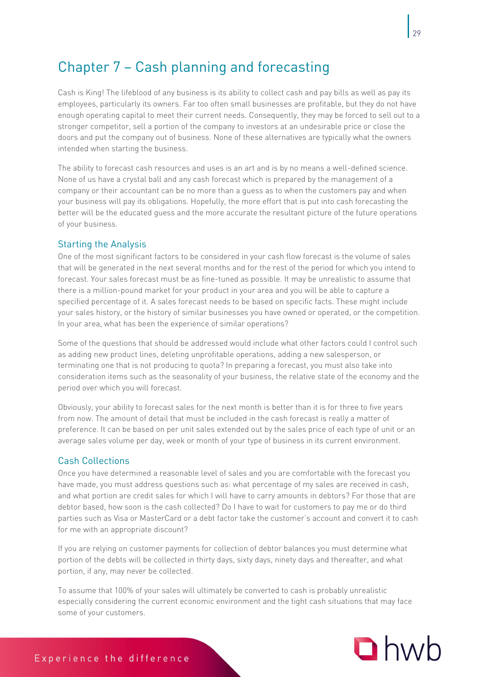# <span id="page-29-0"></span>Chapter 7 – Cash planning and forecasting

Cash is King! The lifeblood of any business is its ability to collect cash and pay bills as well as pay its employees, particularly its owners. Far too often small businesses are profitable, but they do not have enough operating capital to meet their current needs. Consequently, they may be forced to sell out to a stronger competitor, sell a portion of the company to investors at an undesirable price or close the doors and put the company out of business. None of these alternatives are typically what the owners intended when starting the business.

The ability to forecast cash resources and uses is an art and is by no means a well-defined science. None of us have a crystal ball and any cash forecast which is prepared by the management of a company or their accountant can be no more than a guess as to when the customers pay and when your business will pay its obligations. Hopefully, the more effort that is put into cash forecasting the better will be the educated guess and the more accurate the resultant picture of the future operations of your business.

<span id="page-29-1"></span>Starting the Analysis One of the most significant factors to be considered in your cash flow forecast is the volume of sales that will be generated in the next several months and for the rest of the period for which you intend to forecast. Your sales forecast must be as fine-tuned as possible. It may be unrealistic to assume that there is a million-pound market for your product in your area and you will be able to capture a specified percentage of it. A sales forecast needs to be based on specific facts. These might include your sales history, or the history of similar businesses you have owned or operated, or the competition. In your area, what has been the experience of similar operations?

Some of the questions that should be addressed would include what other factors could I control such as adding new product lines, deleting unprofitable operations, adding a new salesperson, or terminating one that is not producing to quota? In preparing a forecast, you must also take into consideration items such as the seasonality of your business, the relative state of the economy and the period over which you will forecast.

Obviously, your ability to forecast sales for the next month is better than it is for three to five years from now. The amount of detail that must be included in the cash forecast is really a matter of preference. It can be based on per unit sales extended out by the sales price of each type of unit or an average sales volume per day, week or month of your type of business in its current environment.

### <span id="page-29-2"></span>**Cash Collections**

- --------------------<br>Once you have determined a reasonable level of sales and you are comfortable with the forecast you have made, you must address questions such as: what percentage of my sales are received in cash, and what portion are credit sales for which I will have to carry amounts in debtors? For those that are debtor based, how soon is the cash collected? Do I have to wait for customers to pay me or do third parties such as Visa or MasterCard or a debt factor take the customer's account and convert it to cash for me with an appropriate discount?

If you are relying on customer payments for collection of debtor balances you must determine what portion of the debts will be collected in thirty days, sixty days, ninety days and thereafter, and what portion, if any, may never be collected.

To assume that 100% of your sales will ultimately be converted to cash is probably unrealistic especially considering the current economic environment and the tight cash situations that may face some of your customers.

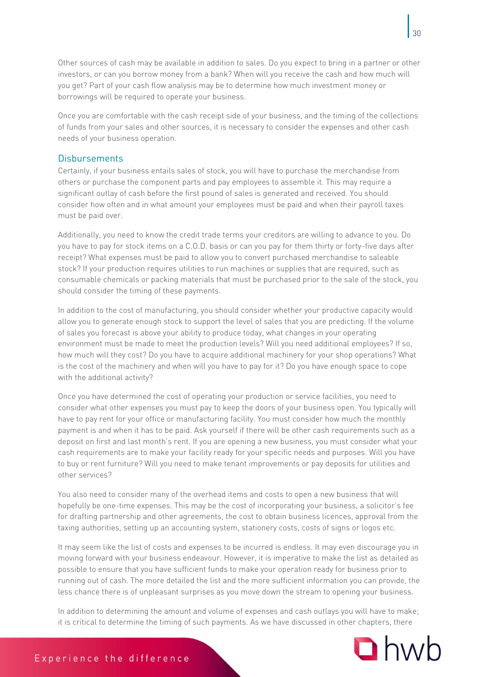Other sources of cash may be available in addition to sales. Do you expect to bring in a partner or other investors, or can you borrow money from a bank? When will you receive the cash and how much will you get? Part of your cash flow analysis may be to determine how much investment money or borrowings will be required to operate your business.

Once you are comfortable with the cash receipt side of your business, and the timing of the collections of funds from your sales and other sources, it is necessary to consider the expenses and other cash needs of your business operation.

### <span id="page-30-0"></span>Disbursements

Certainly, if your business entails sales of stock, you will have to purchase the merchandise from others or purchase the component parts and pay employees to assemble it. This may require a significant outlay of cash before the first pound of sales is generated and received. You should consider how often and in what amount your employees must be paid and when their payroll taxes must be paid over.

Additionally, you need to know the credit trade terms your creditors are willing to advance to you. Do you have to pay for stock items on a C.O.D. basis or can you pay for them thirty or forty-five days after receipt? What expenses must be paid to allow you to convert purchased merchandise to saleable stock? If your production requires utilities to run machines or supplies that are required, such as consumable chemicals or packing materials that must be purchased prior to the sale of the stock, you should consider the timing of these payments.

In addition to the cost of manufacturing, you should consider whether your productive capacity would allow you to generate enough stock to support the level of sales that you are predicting. If the volume of sales you forecast is above your ability to produce today, what changes in your operating environment must be made to meet the production levels? Will you need additional employees? If so, how much will they cost? Do you have to acquire additional machinery for your shop operations? What is the cost of the machinery and when will you have to pay for it? Do you have enough space to cope with the additional activity?

Once you have determined the cost of operating your production or service facilities, you need to consider what other expenses you must pay to keep the doors of your business open. You typically will have to pay rent for your office or manufacturing facility. You must consider how much the monthly payment is and when it has to be paid. Ask yourself if there will be other cash requirements such as a deposit on first and last month's rent. If you are opening a new business, you must consider what your cash requirements are to make your facility ready for your specific needs and purposes. Will you have to buy or rent furniture? Will you need to make tenant improvements or pay deposits for utilities and other services?

You also need to consider many of the overhead items and costs to open a new business that will hopefully be one-time expenses. This may be the cost of incorporating your business, a solicitor's fee for drafting partnership and other agreements, the cost to obtain business licences, approval from the taxing authorities, setting up an accounting system, stationery costs, costs of signs or logos etc.

It may seem like the list of costs and expenses to be incurred is endless. It may even discourage you in moving forward with your business endeavour. However, it is imperative to make the list as detailed as possible to ensure that you have sufficient funds to make your operation ready for business prior to running out of cash. The more detailed the list and the more sufficient information you can provide, the less chance there is of unpleasant surprises as you move down the stream to opening your business.

In addition to determining the amount and volume of expenses and cash outlays you will have to make; it is critical to determine the timing of such payments. As we have discussed in other chapters, there

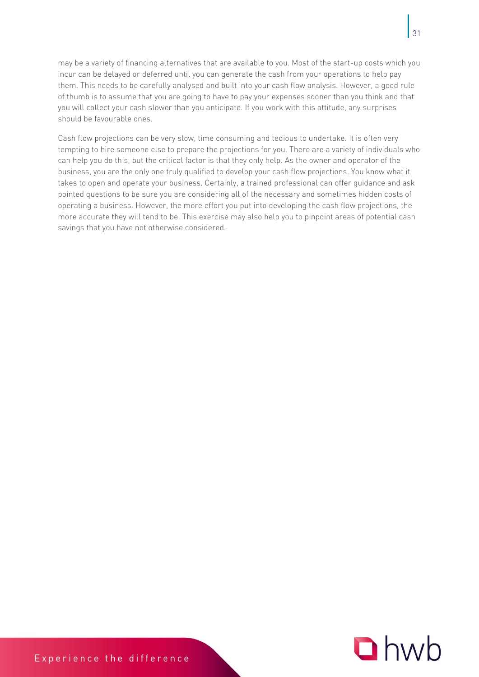may be a variety of financing alternatives that are available to you. Most of the start-up costs which you incur can be delayed or deferred until you can generate the cash from your operations to help pay them. This needs to be carefully analysed and built into your cash flow analysis. However, a good rule of thumb is to assume that you are going to have to pay your expenses sooner than you think and that you will collect your cash slower than you anticipate. If you work with this attitude, any surprises should be favourable ones.

Cash flow projections can be very slow, time consuming and tedious to undertake. It is often very tempting to hire someone else to prepare the projections for you. There are a variety of individuals who can help you do this, but the critical factor is that they only help. As the owner and operator of the business, you are the only one truly qualified to develop your cash flow projections. You know what it takes to open and operate your business. Certainly, a trained professional can offer guidance and ask pointed questions to be sure you are considering all of the necessary and sometimes hidden costs of operating a business. However, the more effort you put into developing the cash flow projections, the more accurate they will tend to be. This exercise may also help you to pinpoint areas of potential cash savings that you have not otherwise considered.

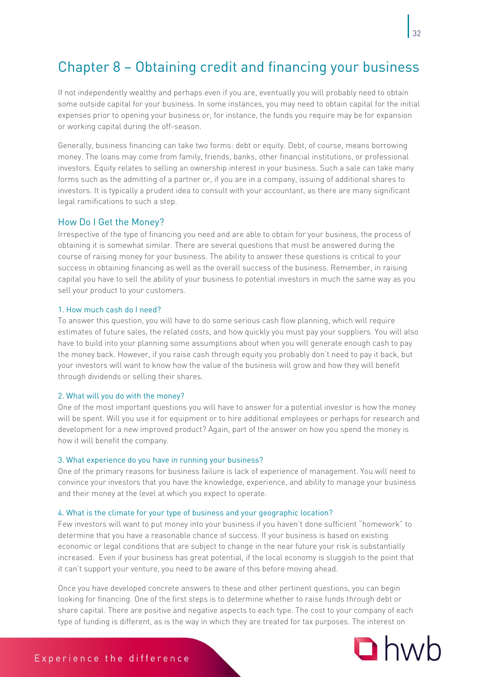# <span id="page-32-0"></span>Chapter 8 – Obtaining credit and financing your business

If not independently wealthy and perhaps even if you are, eventually you will probably need to obtain some outside capital for your business. In some instances, you may need to obtain capital for the initial expenses prior to opening your business or, for instance, the funds you require may be for expansion or working capital during the off-season.

Generally, business financing can take two forms: debt or equity. Debt, of course, means borrowing money. The loans may come from family, friends, banks, other financial institutions, or professional investors. Equity relates to selling an ownership interest in your business. Such a sale can take many forms such as the admitting of a partner or, if you are in a company, issuing of additional shares to investors. It is typically a prudent idea to consult with your accountant, as there are many significant legal ramifications to such a step.

<span id="page-32-1"></span>Irrespective of the type of financing you need and are able to obtain for your business, the process of obtaining it is somewhat similar. There are several questions that must be answered during the course of raising money for your business. The ability to answer these questions is critical to your success in obtaining financing as well as the overall success of the business. Remember, in raising capital you have to sell the ability of your business to potential investors in much the same way as you sell your product to your customers.

### 1. How much cash do I need?

To answer this question, you will have to do some serious cash flow planning, which will require estimates of future sales, the related costs, and how quickly you must pay your suppliers. You will also have to build into your planning some assumptions about when you will generate enough cash to pay the money back. However, if you raise cash through equity you probably don't need to pay it back, but your investors will want to know how the value of the business will grow and how they will benefit through dividends or selling their shares.

One of the most important questions you will have to answer for a potential investor is how the money will be spent. Will you use it for equipment or to hire additional employees or perhaps for research and development for a new improved product? Again, part of the answer on how you spend the money is how it will benefit the company.

3. What experience do you have in running your business? One of the primary reasons for business failure is lack of experience of management. You will need to convince your investors that you have the knowledge, experience, and ability to manage your business and their money at the level at which you expect to operate.

Few investors will want to put money into your business if you haven't done sufficient "homework" to determine that you have a reasonable chance of success. If your business is based on existing economic or legal conditions that are subject to change in the near future your risk is substantially increased. Even if your business has great potential, if the local economy is sluggish to the point that it can't support your venture, you need to be aware of this before moving ahead.

Once you have developed concrete answers to these and other pertinent questions, you can begin looking for financing. One of the first steps is to determine whether to raise funds through debt or share capital. There are positive and negative aspects to each type. The cost to your company of each type of funding is different, as is the way in which they are treated for tax purposes. The interest on

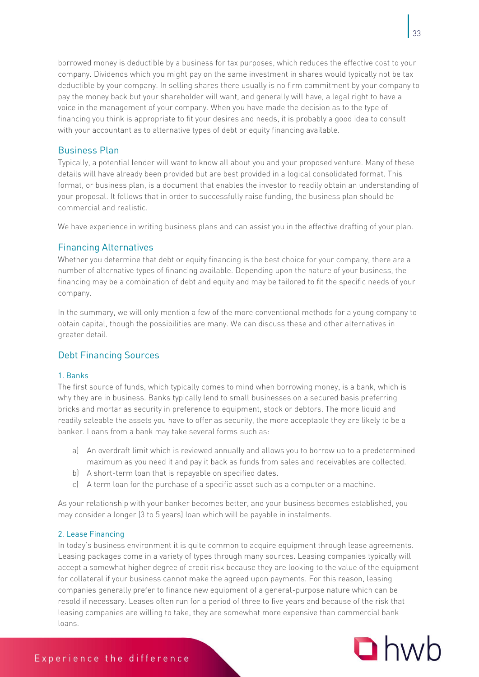borrowed money is deductible by a business for tax purposes, which reduces the effective cost to your company. Dividends which you might pay on the same investment in shares would typically not be tax deductible by your company. In selling shares there usually is no firm commitment by your company to pay the money back but your shareholder will want, and generally will have, a legal right to have a voice in the management of your company. When you have made the decision as to the type of financing you think is appropriate to fit your desires and needs, it is probably a good idea to consult with your accountant as to alternative types of debt or equity financing available.

### <span id="page-33-0"></span>**Business Plan**

Typically, a potential lender will want to know all about you and your proposed venture. Many of these details will have already been provided but are best provided in a logical consolidated format. This format, or business plan, is a document that enables the investor to readily obtain an understanding of your proposal. It follows that in order to successfully raise funding, the business plan should be commercial and realistic.

We have experience in writing business plans and can assist you in the effective drafting of your plan.

<span id="page-33-1"></span>Whether you determine that debt or equity financing is the best choice for your company, there are a number of alternative types of financing available. Depending upon the nature of your business, the financing may be a combination of debt and equity and may be tailored to fit the specific needs of your company.

In the summary, we will only mention a few of the more conventional methods for a young company to obtain capital, though the possibilities are many. We can discuss these and other alternatives in greater detail.

### <span id="page-33-2"></span>Debt Financing Sources

### 1. Banks

The first source of funds, which typically comes to mind when borrowing money, is a bank, which is why they are in business. Banks typically lend to small businesses on a secured basis preferring bricks and mortar as security in preference to equipment, stock or debtors. The more liquid and readily saleable the assets you have to offer as security, the more acceptable they are likely to be a banker. Loans from a bank may take several forms such as:

- a) An overdraft limit which is reviewed annually and allows you to borrow up to a predetermined maximum as you need it and pay it back as funds from sales and receivables are collected.
- b) A short-term loan that is repayable on specified dates.
- c) A term loan for the purchase of a specific asset such as a computer or a machine.

As your relationship with your banker becomes better, and your business becomes established, you may consider a longer (3 to 5 years) loan which will be payable in instalments.

In today's business environment it is quite common to acquire equipment through lease agreements. Leasing packages come in a variety of types through many sources. Leasing companies typically will accept a somewhat higher degree of credit risk because they are looking to the value of the equipment for collateral if your business cannot make the agreed upon payments. For this reason, leasing companies generally prefer to finance new equipment of a general-purpose nature which can be resold if necessary. Leases often run for a period of three to five years and because of the risk that leasing companies are willing to take, they are somewhat more expensive than commercial bank loans.

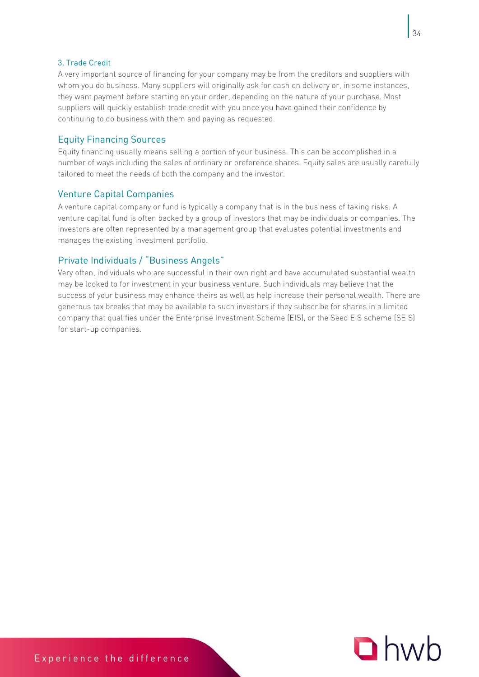### 3. Trade Credit

A very important source of financing for your company may be from the creditors and suppliers with whom you do business. Many suppliers will originally ask for cash on delivery or, in some instances, they want payment before starting on your order, depending on the nature of your purchase. Most suppliers will quickly establish trade credit with you once you have gained their confidence by continuing to do business with them and paying as requested.

<span id="page-34-0"></span>ready<br>Equity financing usually means selling a portion of your business. This can be accomplished in a number of ways including the sales of ordinary or preference shares. Equity sales are usually carefully tailored to meet the needs of both the company and the investor.

<span id="page-34-1"></span>Venture Capital Companies A venture capital company or fund is typically a company that is in the business of taking risks. A venture capital fund is often backed by a group of investors that may be individuals or companies. The investors are often represented by a management group that evaluates potential investments and manages the existing investment portfolio.

<span id="page-34-2"></span>Private Individuals / "Business Angels" Very often, individuals who are successful in their own right and have accumulated substantial wealth may be looked to for investment in your business venture. Such individuals may believe that the success of your business may enhance theirs as well as help increase their personal wealth. There are generous tax breaks that may be available to such investors if they subscribe for shares in a limited company that qualifies under the Enterprise Investment Scheme (EIS), or the Seed EIS scheme (SEIS) for start-up companies.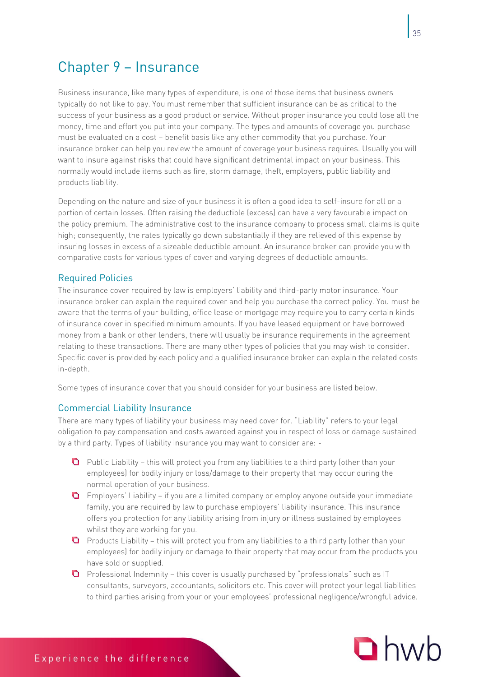# <span id="page-35-0"></span>Chapter 9 – Insurance

Business insurance, like many types of expenditure, is one of those items that business owners typically do not like to pay. You must remember that sufficient insurance can be as critical to the success of your business as a good product or service. Without proper insurance you could lose all the money, time and effort you put into your company. The types and amounts of coverage you purchase must be evaluated on a cost – benefit basis like any other commodity that you purchase. Your insurance broker can help you review the amount of coverage your business requires. Usually you will want to insure against risks that could have significant detrimental impact on your business. This normally would include items such as fire, storm damage, theft, employers, public liability and products liability.

Depending on the nature and size of your business it is often a good idea to self-insure for all or a portion of certain losses. Often raising the deductible (excess) can have a very favourable impact on the policy premium. The administrative cost to the insurance company to process small claims is quite high; consequently, the rates typically go down substantially if they are relieved of this expense by insuring losses in excess of a sizeable deductible amount. An insurance broker can provide you with comparative costs for various types of cover and varying degrees of deductible amounts.

<span id="page-35-1"></span>the insurance cover required by law is employers' liability and third-party motor insurance. Your  $\overline{\phantom{a}}$ insurance broker can explain the required cover and help you purchase the correct policy. You must be aware that the terms of your building, office lease or mortgage may require you to carry certain kinds of insurance cover in specified minimum amounts. If you have leased equipment or have borrowed money from a bank or other lenders, there will usually be insurance requirements in the agreement relating to these transactions. There are many other types of policies that you may wish to consider. Specific cover is provided by each policy and a qualified insurance broker can explain the related costs in-depth.

Some types of insurance cover that you should consider for your business are listed below.

<span id="page-35-2"></span>Commercial Liability Insurance There are many types of liability your business may need cover for. "Liability" refers to your legal obligation to pay compensation and costs awarded against you in respect of loss or damage sustained by a third party. Types of liability insurance you may want to consider are: -

- $\Box$  Public Liability this will protect you from any liabilities to a third party (other than your employees) for bodily injury or loss/damage to their property that may occur during the normal operation of your business.
- Employers' Liability if you are a limited company or employ anyone outside your immediate family, you are required by law to purchase employers' liability insurance. This insurance offers you protection for any liability arising from injury or illness sustained by employees whilst they are working for you.
- **P** Products Liability this will protect you from any liabilities to a third party (other than your employees) for bodily injury or damage to their property that may occur from the products you have sold or supplied.
- **Q** Professional Indemnity this cover is usually purchased by "professionals" such as IT consultants, surveyors, accountants, solicitors etc. This cover will protect your legal liabilities to third parties arising from your or your employees' professional negligence/wrongful advice.

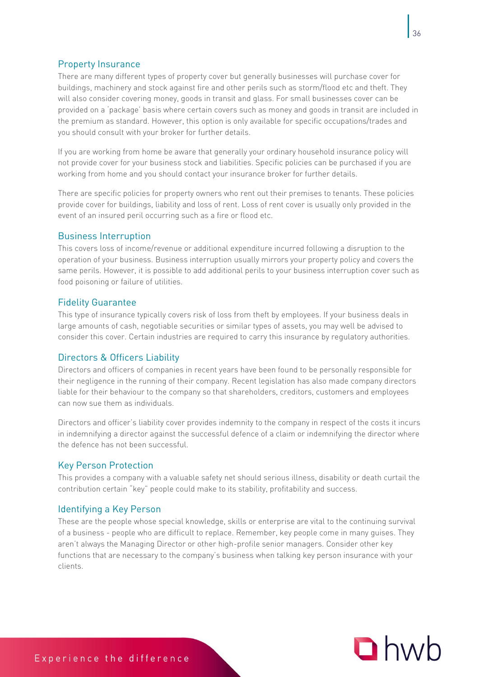<span id="page-36-0"></span>There are many different types of property cover but generally businesses will purchase cover for buildings, machinery and stock against fire and other perils such as storm/flood etc and theft. They will also consider covering money, goods in transit and glass. For small businesses cover can be provided on a 'package' basis where certain covers such as money and goods in transit are included in the premium as standard. However, this option is only available for specific occupations/trades and you should consult with your broker for further details.

If you are working from home be aware that generally your ordinary household insurance policy will not provide cover for your business stock and liabilities. Specific policies can be purchased if you are working from home and you should contact your insurance broker for further details.

There are specific policies for property owners who rent out their premises to tenants. These policies provide cover for buildings, liability and loss of rent. Loss of rent cover is usually only provided in the event of an insured peril occurring such as a fire or flood etc.

<span id="page-36-1"></span>This covers loss of income/revenue or additional expenditure incurred following a disruption to the operation of your business. Business interruption usually mirrors your property policy and covers the same perils. However, it is possible to add additional perils to your business interruption cover such as food poisoning or failure of utilities.

<span id="page-36-2"></span>This type of insurance typically covers risk of loss from theft by employees. If your business deals in This type large amounts of cash, negotiable securities or similar types of assets, you may well be advised to consider this cover. Certain industries are required to carry this insurance by regulatory authorities.

### <span id="page-36-3"></span>Directors & Officers Liability

Directors and officers of companies in recent years have been found to be personally responsible for their negligence in the running of their company. Recent legislation has also made company directors liable for their behaviour to the company so that shareholders, creditors, customers and employees can now sue them as individuals.

Directors and officer's liability cover provides indemnity to the company in respect of the costs it incurs in indemnifying a director against the successful defence of a claim or indemnifying the director where the defence has not been successful.

### <span id="page-36-4"></span>**Key Person Protection**

Key Person Protection This provides a company with a valuable safety net should serious illness, disability or death curtail the contribution certain "key" people could make to its stability, profitability and success.

<span id="page-36-5"></span>Identify<br>These are the people whose special knowledge, skills or enterprise are vital to the continuing survival of a business - people who are difficult to replace. Remember, key people come in many guises. They aren't always the Managing Director or other high-profile senior managers. Consider other key functions that are necessary to the company's business when talking key person insurance with your clients.

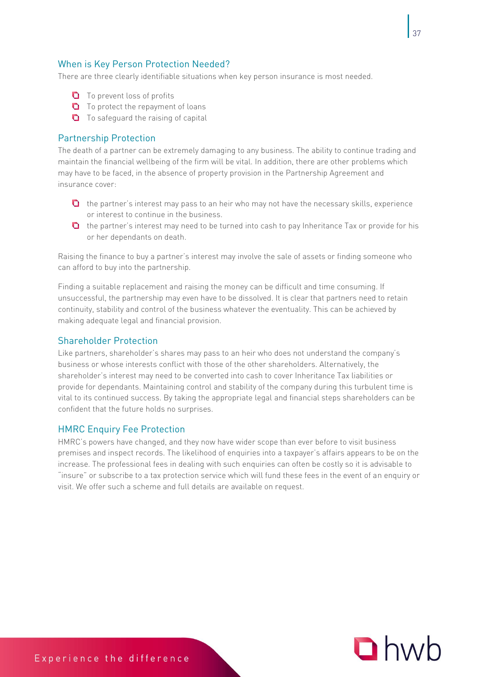<span id="page-37-0"></span>There are three clearly identifiable situations when key person insurance is most needed.

- **Q** To prevent loss of profits
- **Q** To protect the repayment of loans
- $\Box$  To safeguard the raising of capital

<span id="page-37-1"></span>The death of a partner can be extremely damaging to any business. The ability to continue trading and The death of a maintain the financial wellbeing of the firm will be vital. In addition, there are other problems which may have to be faced, in the absence of property provision in the Partnership Agreement and insurance cover:

- $\Box$  the partner's interest may pass to an heir who may not have the necessary skills, experience or interest to continue in the business.
- **Q** the partner's interest may need to be turned into cash to pay Inheritance Tax or provide for his or her dependants on death.

Raising the finance to buy a partner's interest may involve the sale of assets or finding someone who can afford to buy into the partnership.

Finding a suitable replacement and raising the money can be difficult and time consuming. If unsuccessful, the partnership may even have to be dissolved. It is clear that partners need to retain continuity, stability and control of the business whatever the eventuality. This can be achieved by making adequate legal and financial provision.

### <span id="page-37-2"></span>**Shareholder Protection**

Like partners, shareholder's shares may pass to an heir who does not understand the company's business or whose interests conflict with those of the other shareholders. Alternatively, the shareholder's interest may need to be converted into cash to cover Inheritance Tax liabilities or provide for dependants. Maintaining control and stability of the company during this turbulent time is vital to its continued success. By taking the appropriate legal and financial steps shareholders can be confident that the future holds no surprises.

<span id="page-37-3"></span>HMRC Enquiry Fee Protection HMRC's powers have changed, and they now have wider scope than ever before to visit business premises and inspect records. The likelihood of enquiries into a taxpayer's affairs appears to be on the increase. The professional fees in dealing with such enquiries can often be costly so it is advisable to "insure" or subscribe to a tax protection service which will fund these fees in the event of an enquiry or visit. We offer such a scheme and full details are available on request.

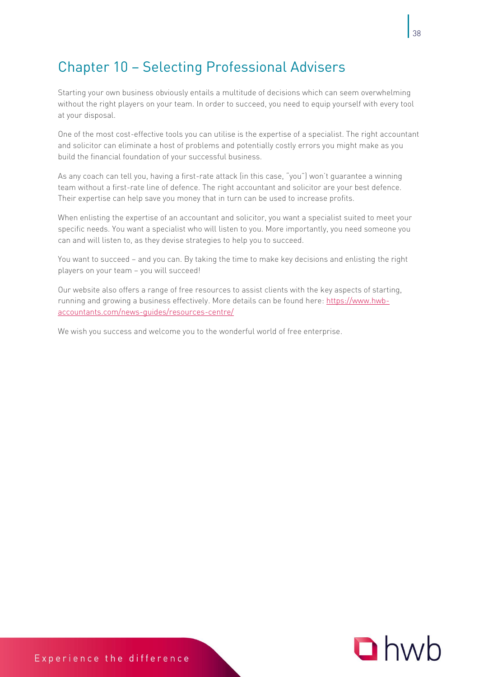# <span id="page-38-0"></span>Chapter 10 – Selecting Professional Advisers

Starting your own business obviously entails a multitude of decisions which can seem overwhelming without the right players on your team. In order to succeed, you need to equip yourself with every tool at your disposal.

One of the most cost-effective tools you can utilise is the expertise of a specialist. The right accountant and solicitor can eliminate a host of problems and potentially costly errors you might make as you build the financial foundation of your successful business.

As any coach can tell you, having a first-rate attack (in this case, "you") won't guarantee a winning team without a first-rate line of defence. The right accountant and solicitor are your best defence. Their expertise can help save you money that in turn can be used to increase profits.

When enlisting the expertise of an accountant and solicitor, you want a specialist suited to meet your specific needs. You want a specialist who will listen to you. More importantly, you need someone you can and will listen to, as they devise strategies to help you to succeed.

You want to succeed – and you can. By taking the time to make key decisions and enlisting the right players on your team – you will succeed!

Our website also offers a range of free resources to assist clients with the key aspects of starting, running and growing a business effectively. More details can be found here: [https://www.hwb](https://www.hwb-accountants.com/news-guides/resources-centre/)[accountants.com/news-guides/resources-centre/](https://www.hwb-accountants.com/news-guides/resources-centre/)

We wish you success and welcome you to the wonderful world of free enterprise.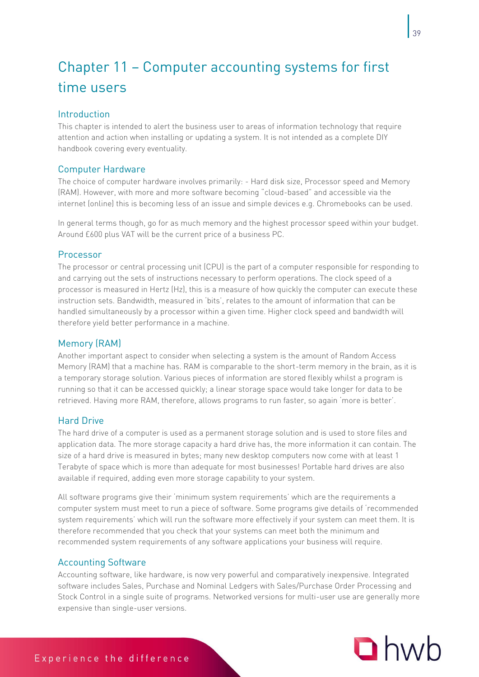# <span id="page-39-0"></span>Chapter 11 – Computer accounting systems for first

<span id="page-39-1"></span>This chapter is intended to alert the business user to areas of information technology that require attention and action when installing or updating a system. It is not intended as a complete DIY handbook covering every eventuality.

<span id="page-39-2"></span>The choice of computer hardware involves primarily: - Hard disk size, Processor speed and Memory (RAM). However, with more and more software becoming "cloud-based" and accessible via the internet (online) this is becoming less of an issue and simple devices e.g. Chromebooks can be used.

In general terms though, go for as much memory and the highest processor speed within your budget. Around £600 plus VAT will be the current price of a business PC.

### <span id="page-39-3"></span>Processor

Processor The processor or central processing unit (CPU) is the part of a computer responsible for responding to and carrying out the sets of instructions necessary to perform operations. The clock speed of a processor is measured in Hertz (Hz), this is a measure of how quickly the computer can execute these instruction sets. Bandwidth, measured in 'bits', relates to the amount of information that can be handled simultaneously by a processor within a given time. Higher clock speed and bandwidth will therefore yield better performance in a machine.

<span id="page-39-4"></span>Another important aspect to consider when selecting a system is the amount of Random Access Memory (RAM) that a machine has. RAM is comparable to the short-term memory in the brain, as it is a temporary storage solution. Various pieces of information are stored flexibly whilst a program is running so that it can be accessed quickly; a linear storage space would take longer for data to be retrieved. Having more RAM, therefore, allows programs to run faster, so again 'more is better'.

### <span id="page-39-5"></span>**Hard Drive**

Hard Drive The hard drive of a computer is used as a permanent storage solution and is used to store files and application data. The more storage capacity a hard drive has, the more information it can contain. The size of a hard drive is measured in bytes; many new desktop computers now come with at least 1 Terabyte of space which is more than adequate for most businesses! Portable hard drives are also available if required, adding even more storage capability to your system.

All software programs give their 'minimum system requirements' which are the requirements a computer system must meet to run a piece of software. Some programs give details of 'recommended system requirements' which will run the software more effectively if your system can meet them. It is therefore recommended that you check that your systems can meet both the minimum and recommended system requirements of any software applications your business will require.

<span id="page-39-6"></span>Accounting Software Accounting software, like hardware, is now very powerful and comparatively inexpensive. Integrated software includes Sales, Purchase and Nominal Ledgers with Sales/Purchase Order Processing and Stock Control in a single suite of programs. Networked versions for multi-user use are generally more expensive than single-user versions.

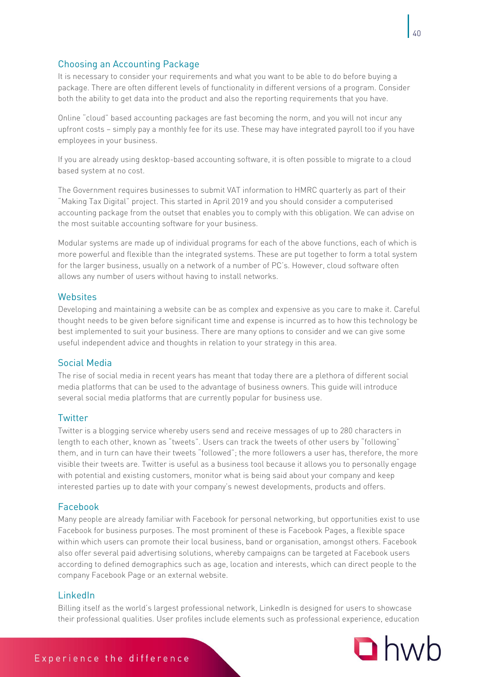<span id="page-40-0"></span>It is necessary to consider your requirements and what you want to be able to do before buying a package. There are often different levels of functionality in different versions of a program. Consider both the ability to get data into the product and also the reporting requirements that you have.

Online "cloud" based accounting packages are fast becoming the norm, and you will not incur any upfront costs – simply pay a monthly fee for its use. These may have integrated payroll too if you have employees in your business.

If you are already using desktop-based accounting software, it is often possible to migrate to a cloud based system at no cost.

The Government requires businesses to submit VAT information to HMRC quarterly as part of their "Making Tax Digital" project. This started in April 2019 and you should consider a computerised accounting package from the outset that enables you to comply with this obligation. We can advise on the most suitable accounting software for your business.

Modular systems are made up of individual programs for each of the above functions, each of which is more powerful and flexible than the integrated systems. These are put together to form a total system for the larger business, usually on a network of a number of PC's. However, cloud software often allows any number of users without having to install networks.

### <span id="page-40-1"></span>Wehsites

Developing and maintaining a website can be as complex and expensive as you care to make it. Careful thought needs to be given before significant time and expense is incurred as to how this technology be best implemented to suit your business. There are many options to consider and we can give some useful independent advice and thoughts in relation to your strategy in this area.

<span id="page-40-2"></span>of social media.<br>The rise of social media in recent years has meant that today there are a plethora of different social. media platforms that can be used to the advantage of business owners. This guide will introduce several social media platforms that are currently popular for business use.

### <span id="page-40-3"></span>Twitter

Twitter Twitter is a blogging service whereby users send and receive messages of up to 280 characters in length to each other, known as "tweets". Users can track the tweets of other users by "following" them, and in turn can have their tweets "followed"; the more followers a user has, therefore, the more visible their tweets are. Twitter is useful as a business tool because it allows you to personally engage with potential and existing customers, monitor what is being said about your company and keep interested parties up to date with your company's newest developments, products and offers.

### <span id="page-40-4"></span>Facebook

.<br>Many people are already familiar with Facebook for personal networking, but opportunities exist to use Facebook for business purposes. The most prominent of these is Facebook Pages, a flexible space within which users can promote their local business, band or organisation, amongst others. Facebook also offer several paid advertising solutions, whereby campaigns can be targeted at Facebook users according to defined demographics such as age, location and interests, which can direct people to the company Facebook Page or an external website.

### <span id="page-40-5"></span>**LinkedIn**

LinkedIn Billing itself as the world's largest professional network, LinkedIn is designed for users to showcase their professional qualities. User profiles include elements such as professional experience, education

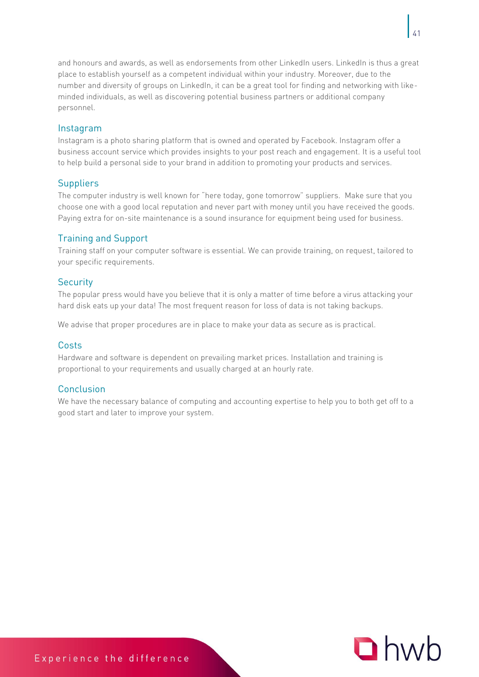and honours and awards, as well as endorsements from other LinkedIn users. LinkedIn is thus a great place to establish yourself as a competent individual within your industry. Moreover, due to the number and diversity of groups on LinkedIn, it can be a great tool for finding and networking with likeminded individuals, as well as discovering potential business partners or additional company personnel.

Instagram Instagram is a photo sharing platform that is owned and operated by Facebook. Instagram offer a business account service which provides insights to your post reach and engagement. It is a useful tool to help build a personal side to your brand in addition to promoting your products and services.

<span id="page-41-0"></span>s appaces.<br>The computer industry is well known for "here today, gone tomorrow" suppliers. Make sure that you choose one with a good local reputation and never part with money until you have received the goods. Paying extra for on-site maintenance is a sound insurance for equipment being used for business.

<span id="page-41-1"></span>Training staff on your computer software is essential. We can provide training, on request, tailored to your specific requirements.

<span id="page-41-2"></span>security<br>The popular press would have you believe that it is only a matter of time before a virus attacking your hard disk eats up your data! The most frequent reason for loss of data is not taking backups.

We advise that proper procedures are in place to make your data as secure as is practical.

### <span id="page-41-3"></span>Costs

Hardware and software is dependent on prevailing market prices. Installation and training is proportional to your requirements and usually charged at an hourly rate.

### <span id="page-41-4"></span>Conclusion

We have the necessary balance of computing and accounting expertise to help you to both get off to a good start and later to improve your system.

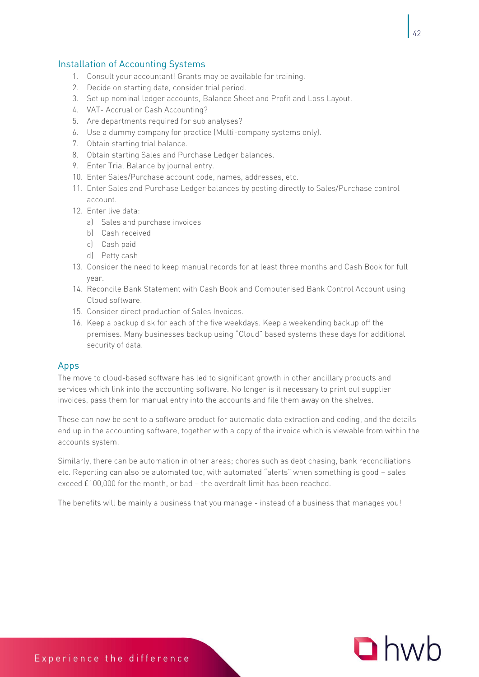- <span id="page-42-0"></span>1. Consult your accountant! Grants may be available for training.
	- 2. Decide on starting date, consider trial period.
	- 3. Set up nominal ledger accounts, Balance Sheet and Profit and Loss Layout.
	- 4. VAT- Accrual or Cash Accounting?
	- 5. Are departments required for sub analyses?
	- 6. Use a dummy company for practice (Multi-company systems only).
	- 7. Obtain starting trial balance.
	- 8. Obtain starting Sales and Purchase Ledger balances.
	- 9. Enter Trial Balance by journal entry.
	- 10. Enter Sales/Purchase account code, names, addresses, etc.
	- 11. Enter Sales and Purchase Ledger balances by posting directly to Sales/Purchase control account.
	- 12. Enter live data:
		- a) Sales and purchase invoices
		- b) Cash received
		- c) Cash paid
		- d) Petty cash
	- 13. Consider the need to keep manual records for at least three months and Cash Book for full year.
	- 14. Reconcile Bank Statement with Cash Book and Computerised Bank Control Account using Cloud software.
	- 15. Consider direct production of Sales Invoices.
	- 16. Keep a backup disk for each of the five weekdays. Keep a weekending backup off the premises. Many businesses backup using "Cloud" based systems these days for additional security of data.

<span id="page-42-1"></span>. .<br>The move to cloud-based software has led to significant growth in other ancillary products and services which link into the accounting software. No longer is it necessary to print out supplier invoices, pass them for manual entry into the accounts and file them away on the shelves.

These can now be sent to a software product for automatic data extraction and coding, and the details end up in the accounting software, together with a copy of the invoice which is viewable from within the accounts system.

Similarly, there can be automation in other areas; chores such as debt chasing, bank reconciliations etc. Reporting can also be automated too, with automated "alerts" when something is good – sales exceed £100,000 for the month, or bad – the overdraft limit has been reached.

The benefits will be mainly a business that you manage - instead of a business that manages you!